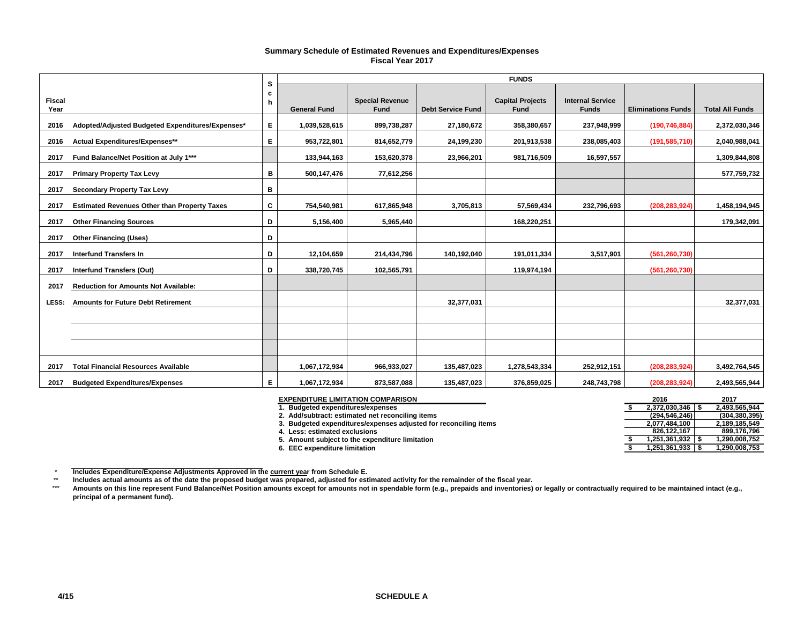#### **Summary Schedule of Estimated Revenues and Expenditures/Expenses Fiscal Year 2017**

|                       |                                                     | s      |                     |                                |                          | <b>FUNDS</b>                    |                                         |                           |                        |
|-----------------------|-----------------------------------------------------|--------|---------------------|--------------------------------|--------------------------|---------------------------------|-----------------------------------------|---------------------------|------------------------|
| <b>Fiscal</b><br>Year |                                                     | c<br>h | <b>General Fund</b> | <b>Special Revenue</b><br>Fund | <b>Debt Service Fund</b> | <b>Capital Projects</b><br>Fund | <b>Internal Service</b><br><b>Funds</b> | <b>Eliminations Funds</b> | <b>Total All Funds</b> |
| 2016                  | Adopted/Adjusted Budgeted Expenditures/Expenses*    | Е.     | 1,039,528,615       | 899,738,287                    | 27,180,672               | 358,380,657                     | 237,948,999                             | (190, 746, 884)           | 2,372,030,346          |
| 2016                  | Actual Expenditures/Expenses**                      | Е.     | 953,722,801         | 814,652,779                    | 24,199,230               | 201,913,538                     | 238,085,403                             | (191, 585, 710)           | 2,040,988,041          |
| 2017                  | Fund Balance/Net Position at July 1***              |        | 133,944,163         | 153,620,378                    | 23,966,201               | 981,716,509                     | 16,597,557                              |                           | 1,309,844,808          |
| 2017                  | <b>Primary Property Tax Levy</b>                    | в      | 500,147,476         | 77,612,256                     |                          |                                 |                                         |                           | 577,759,732            |
| 2017                  | <b>Secondary Property Tax Levy</b>                  | в      |                     |                                |                          |                                 |                                         |                           |                        |
| 2017                  | <b>Estimated Revenues Other than Property Taxes</b> | C      | 754,540,981         | 617,865,948                    | 3,705,813                | 57,569,434                      | 232,796,693                             | (208, 283, 924)           | 1,458,194,945          |
| 2017                  | <b>Other Financing Sources</b>                      | D      | 5,156,400           | 5,965,440                      |                          | 168,220,251                     |                                         |                           | 179,342,091            |
| 2017                  | <b>Other Financing (Uses)</b>                       | D      |                     |                                |                          |                                 |                                         |                           |                        |
| 2017                  | <b>Interfund Transfers In</b>                       | D      | 12,104,659          | 214,434,796                    | 140,192,040              | 191,011,334                     | 3,517,901                               | (561, 260, 730)           |                        |
| 2017                  | <b>Interfund Transfers (Out)</b>                    | D      | 338,720,745         | 102,565,791                    |                          | 119,974,194                     |                                         | (561, 260, 730)           |                        |
| 2017                  | <b>Reduction for Amounts Not Available:</b>         |        |                     |                                |                          |                                 |                                         |                           |                        |
| LESS:                 | <b>Amounts for Future Debt Retirement</b>           |        |                     |                                | 32,377,031               |                                 |                                         |                           | 32,377,031             |
|                       |                                                     |        |                     |                                |                          |                                 |                                         |                           |                        |
|                       |                                                     |        |                     |                                |                          |                                 |                                         |                           |                        |
|                       |                                                     |        |                     |                                |                          |                                 |                                         |                           |                        |
| 2017                  | <b>Total Financial Resources Available</b>          |        | 1,067,172,934       | 966,933,027                    | 135,487,023              | 1,278,543,334                   | 252,912,151                             | (208, 283, 924)           | 3,492,764,545          |
| 2017                  | <b>Budgeted Expenditures/Expenses</b>               | E.     | 1,067,172,934       | 873,587,088                    | 135,487,023              | 376,859,025                     | 248,743,798                             | (208, 283, 924)           | 2,493,565,944          |

| <b>EXPENDITURE LIMITATION COMPARISON</b>                         | 2016          | 2017            |  |
|------------------------------------------------------------------|---------------|-----------------|--|
| 1. Budgeted expenditures/expenses                                | 2.372.030.346 | 2.493.565.944   |  |
| 2. Add/subtract: estimated net reconciling items                 | (294.546.246) | (304, 380, 395) |  |
| 3. Budgeted expenditures/expenses adjusted for reconciling items | 2,077,484,100 | 2.189.185.549   |  |
| 4. Less: estimated exclusions                                    | 826.122.167   | 899.176.796     |  |
| 5. Amount subject to the expenditure limitation                  | 1.251.361.932 | .290.008.752    |  |
| 6. EEC expenditure limitation                                    | 1.251.361.933 | .290.008.753    |  |

 $^\star$ 

\*\* Includes Expenditure/Expense Adjustments Approved in the <u>current yea</u>r from Schedule E.<br>Includes actual amounts as of the date the proposed budget was prepared, adjusted for estimated activity for the remainder of the fis

\*\*\* **Amounts on this line represent Fund Balance/Net Position amounts except for amounts not in spendable form (e.g., prepaids and inventories) or legally or contractually required to be maintained intact (e.g., principal of a permanent fund).**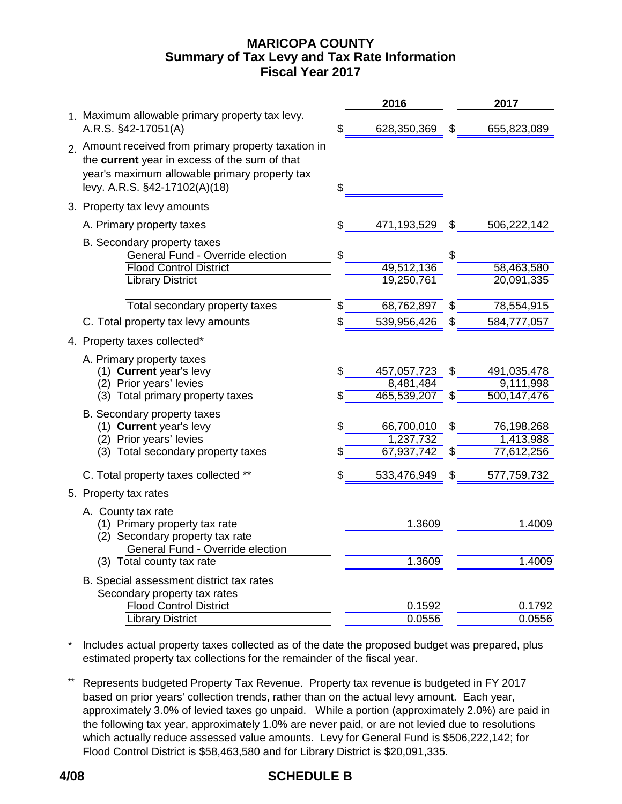# **MARICOPA COUNTY Fiscal Year 2017 Summary of Tax Levy and Tax Rate Information**

|                                                                                                                                                                                         |          | 2016                                  |          | 2017                                  |
|-----------------------------------------------------------------------------------------------------------------------------------------------------------------------------------------|----------|---------------------------------------|----------|---------------------------------------|
| 1. Maximum allowable primary property tax levy.<br>A.R.S. §42-17051(A)                                                                                                                  | \$       | 628,350,369                           | \$       | 655,823,089                           |
| 2. Amount received from primary property taxation in<br>the current year in excess of the sum of that<br>year's maximum allowable primary property tax<br>levy. A.R.S. §42-17102(A)(18) | \$       |                                       |          |                                       |
| 3. Property tax levy amounts                                                                                                                                                            |          |                                       |          |                                       |
| A. Primary property taxes                                                                                                                                                               | \$       | 471,193,529                           | \$       | 506,222,142                           |
| B. Secondary property taxes<br>General Fund - Override election<br><b>Flood Control District</b><br><b>Library District</b>                                                             | \$       | 49,512,136<br>19,250,761              | \$       | 58,463,580<br>20,091,335              |
| Total secondary property taxes                                                                                                                                                          | \$       | 68,762,897                            | \$       | 78,554,915                            |
| C. Total property tax levy amounts                                                                                                                                                      | \$       | 539,956,426                           | \$       | 584,777,057                           |
| 4. Property taxes collected*                                                                                                                                                            |          |                                       |          |                                       |
| A. Primary property taxes                                                                                                                                                               |          |                                       |          |                                       |
| (1) Current year's levy                                                                                                                                                                 | \$       | 457,057,723                           | \$       | 491,035,478                           |
| (2) Prior years' levies                                                                                                                                                                 |          | 8,481,484                             |          | 9,111,998                             |
| (3) Total primary property taxes                                                                                                                                                        | \$       | 465,539,207                           | \$       | 500,147,476                           |
| B. Secondary property taxes<br>(1) Current year's levy<br>(2) Prior years' levies<br>(3) Total secondary property taxes                                                                 | \$<br>\$ | 66,700,010<br>1,237,732<br>67,937,742 | \$<br>\$ | 76,198,268<br>1,413,988<br>77,612,256 |
| C. Total property taxes collected **                                                                                                                                                    | \$       | 533,476,949                           | \$       | 577,759,732                           |
| 5. Property tax rates                                                                                                                                                                   |          |                                       |          |                                       |
| A. County tax rate<br>(1) Primary property tax rate<br>(2) Secondary property tax rate<br>General Fund - Override election                                                              |          | 1.3609                                |          | 1.4009                                |
| (3) Total county tax rate                                                                                                                                                               |          | 1.3609                                |          | 1.4009                                |
| B. Special assessment district tax rates<br>Secondary property tax rates                                                                                                                |          |                                       |          |                                       |
| <b>Flood Control District</b>                                                                                                                                                           |          | 0.1592<br>0.0556                      |          | 0.1792<br>0.0556                      |
| <b>Library District</b>                                                                                                                                                                 |          |                                       |          |                                       |

\* Includes actual property taxes collected as of the date the proposed budget was prepared, plus estimated property tax collections for the remainder of the fiscal year.

\*\* Represents budgeted Property Tax Revenue. Property tax revenue is budgeted in FY 2017 based on prior years' collection trends, rather than on the actual levy amount. Each year, approximately 3.0% of levied taxes go unpaid. While a portion (approximately 2.0%) are paid in the following tax year, approximately 1.0% are never paid, or are not levied due to resolutions which actually reduce assessed value amounts. Levy for General Fund is \$506,222,142; for Flood Control District is \$58,463,580 and for Library District is \$20,091,335.

# **4/08 SCHEDULE B**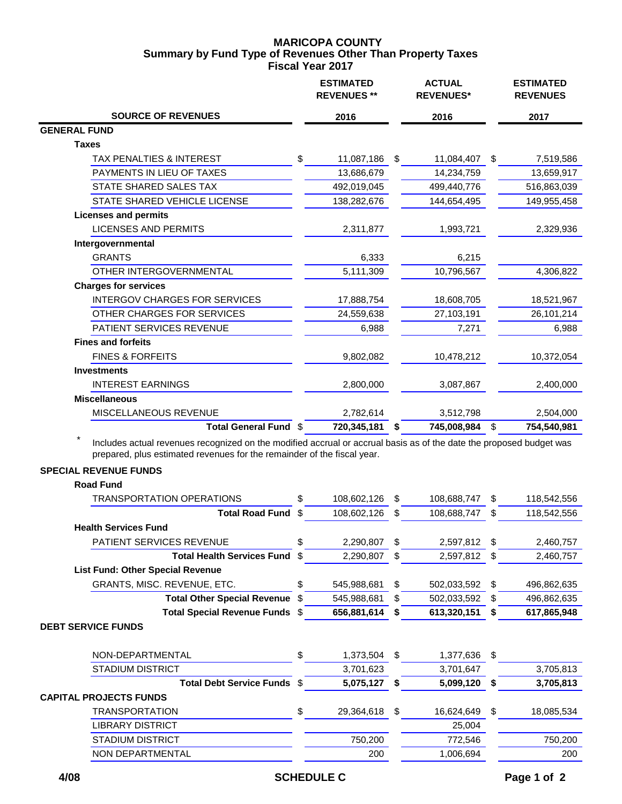## **MARICOPA COUNTY Fiscal Year 2017 Summary by Fund Type of Revenues Other Than Property Taxes**

|                                                                                                                                                                                                | <b>ESTIMATED</b><br><b>REVENUES **</b> |    | <b>ACTUAL</b><br><b>REVENUES*</b> |                         | <b>ESTIMATED</b><br><b>REVENUES</b> |
|------------------------------------------------------------------------------------------------------------------------------------------------------------------------------------------------|----------------------------------------|----|-----------------------------------|-------------------------|-------------------------------------|
| <b>SOURCE OF REVENUES</b>                                                                                                                                                                      | 2016                                   |    | 2016                              |                         | 2017                                |
| <b>GENERAL FUND</b>                                                                                                                                                                            |                                        |    |                                   |                         |                                     |
| <b>Taxes</b>                                                                                                                                                                                   |                                        |    |                                   |                         |                                     |
| TAX PENALTIES & INTEREST                                                                                                                                                                       | \$<br>11,087,186                       | \$ | 11,084,407                        | \$                      | 7,519,586                           |
| PAYMENTS IN LIEU OF TAXES                                                                                                                                                                      | 13,686,679                             |    | 14,234,759                        |                         | 13,659,917                          |
| STATE SHARED SALES TAX                                                                                                                                                                         | 492,019,045                            |    | 499,440,776                       |                         | 516,863,039                         |
| STATE SHARED VEHICLE LICENSE                                                                                                                                                                   | 138,282,676                            |    | 144,654,495                       |                         | 149,955,458                         |
| <b>Licenses and permits</b>                                                                                                                                                                    |                                        |    |                                   |                         |                                     |
| <b>LICENSES AND PERMITS</b>                                                                                                                                                                    | 2,311,877                              |    | 1,993,721                         |                         | 2,329,936                           |
| Intergovernmental                                                                                                                                                                              |                                        |    |                                   |                         |                                     |
| <b>GRANTS</b>                                                                                                                                                                                  | 6,333                                  |    | 6,215                             |                         |                                     |
| OTHER INTERGOVERNMENTAL                                                                                                                                                                        | 5,111,309                              |    | 10,796,567                        |                         | 4,306,822                           |
| <b>Charges for services</b>                                                                                                                                                                    |                                        |    |                                   |                         |                                     |
| <b>INTERGOV CHARGES FOR SERVICES</b>                                                                                                                                                           | 17,888,754                             |    | 18,608,705                        |                         | 18,521,967                          |
| OTHER CHARGES FOR SERVICES                                                                                                                                                                     | 24,559,638                             |    | 27,103,191                        |                         | 26,101,214                          |
| PATIENT SERVICES REVENUE                                                                                                                                                                       | 6,988                                  |    | 7,271                             |                         | 6,988                               |
| <b>Fines and forfeits</b>                                                                                                                                                                      |                                        |    |                                   |                         |                                     |
| <b>FINES &amp; FORFEITS</b>                                                                                                                                                                    | 9,802,082                              |    | 10,478,212                        |                         | 10,372,054                          |
| <b>Investments</b>                                                                                                                                                                             |                                        |    |                                   |                         |                                     |
| <b>INTEREST EARNINGS</b>                                                                                                                                                                       | 2,800,000                              |    | 3,087,867                         |                         | 2,400,000                           |
| <b>Miscellaneous</b>                                                                                                                                                                           |                                        |    |                                   |                         |                                     |
| MISCELLANEOUS REVENUE                                                                                                                                                                          | 2,782,614                              |    | 3,512,798                         |                         | 2,504,000                           |
| Total General Fund \$                                                                                                                                                                          | 720,345,181                            | S  | 745,008,984                       | $\sqrt[6]{\frac{1}{2}}$ | 754,540,981                         |
| Includes actual revenues recognized on the modified accrual or accrual basis as of the date the proposed budget was<br>prepared, plus estimated revenues for the remainder of the fiscal year. |                                        |    |                                   |                         |                                     |
| <b>SPECIAL REVENUE FUNDS</b>                                                                                                                                                                   |                                        |    |                                   |                         |                                     |
| <b>Road Fund</b>                                                                                                                                                                               |                                        |    |                                   |                         |                                     |
| <b>TRANSPORTATION OPERATIONS</b>                                                                                                                                                               | \$<br>108,602,126                      | \$ | 108,688,747                       | \$                      | 118,542,556                         |
| <b>Total Road Fund</b>                                                                                                                                                                         | \$<br>108,602,126                      | \$ | 108,688,747                       | \$                      | 118,542,556                         |
| <b>Health Services Fund</b>                                                                                                                                                                    |                                        |    |                                   |                         |                                     |
| PATIENT SERVICES REVENUE                                                                                                                                                                       | \$<br>2,290,807                        | \$ | 2,597,812                         | \$                      | 2,460,757                           |
| <b>Total Health Services Fund</b>                                                                                                                                                              | \$<br>2,290,807                        | \$ | 2,597,812                         | \$                      | 2,460,757                           |

**List Fund: Other Special Revenue** GRANTS, MISC. REVENUE, ETC.  $$545,988,681 $502,033,592 $496,862,635$ **Total Other Special Revenue**  $\frac{2}{3}$  545,988,681  $\frac{2}{3}$  502,033,592  $\frac{2}{3}$  496,862,635 **Total Special Revenue Funds** \$ **656,881,614 \$ 613,320,151 \$ 617,865,948**

### **DEBT SERVICE FUNDS**

| NON-DEPARTMENTAL              | \$<br>1,373,504  | \$<br>1,377,636 | S |            |
|-------------------------------|------------------|-----------------|---|------------|
| <b>STADIUM DISTRICT</b>       | 3,701,623        | 3,701,647       |   | 3,705,813  |
| Total Debt Service Funds \$   | 5,075,127        | 5,099,120       |   | 3,705,813  |
| <b>CAPITAL PROJECTS FUNDS</b> |                  |                 |   |            |
| TRANSPORTATION                | \$<br>29,364,618 | 16,624,649      |   | 18,085,534 |
| LIBRARY DISTRICT              |                  | 25,004          |   |            |
| <b>STADIUM DISTRICT</b>       | 750,200          | 772,546         |   | 750,200    |
| NON DEPARTMENTAL              | 200              | 1,006,694       |   | 200        |
|                               |                  |                 |   |            |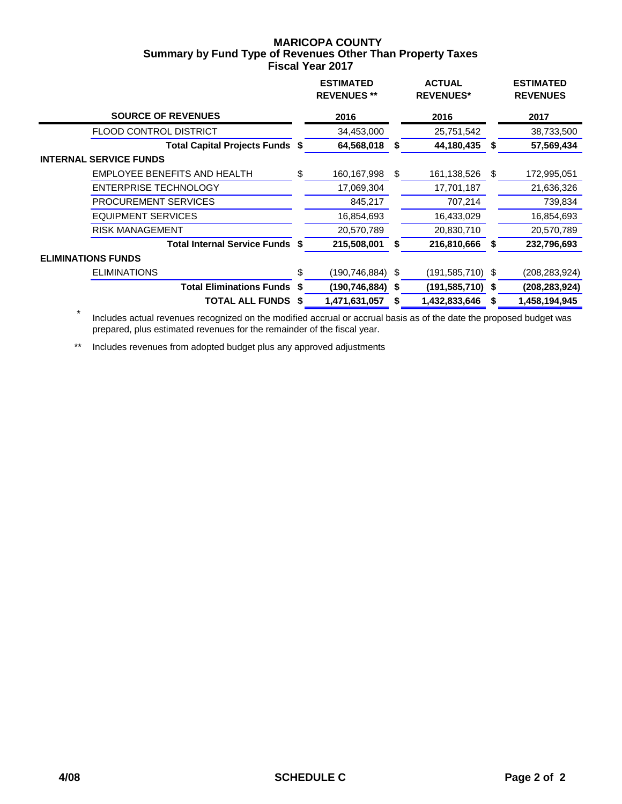## **MARICOPA COUNTY Fiscal Year 2017 Summary by Fund Type of Revenues Other Than Property Taxes**

|                                        | <b>ESTIMATED</b><br><b>REVENUES **</b> |    | <b>ACTUAL</b><br><b>REVENUES*</b> |    | <b>ESTIMATED</b><br><b>REVENUES</b> |  |
|----------------------------------------|----------------------------------------|----|-----------------------------------|----|-------------------------------------|--|
| <b>SOURCE OF REVENUES</b>              | 2016                                   |    | 2016                              |    | 2017                                |  |
| <b>FLOOD CONTROL DISTRICT</b>          | 34,453,000                             |    | 25,751,542                        |    | 38,733,500                          |  |
| <b>Total Capital Projects Funds \$</b> | 64,568,018                             | S  | 44,180,435                        | S  | 57,569,434                          |  |
| <b>INTERNAL SERVICE FUNDS</b>          |                                        |    |                                   |    |                                     |  |
| EMPLOYEE BENEFITS AND HEALTH           | \$<br>160,167,998                      | \$ | 161,138,526                       | \$ | 172,995,051                         |  |
| ENTERPRISE TECHNOLOGY                  | 17,069,304                             |    | 17,701,187                        |    | 21,636,326                          |  |
| PROCUREMENT SERVICES                   | 845,217                                |    | 707,214                           |    | 739,834                             |  |
| EQUIPMENT SERVICES                     | 16,854,693                             |    | 16,433,029                        |    | 16,854,693                          |  |
| <b>RISK MANAGEMENT</b>                 | 20,570,789                             |    | 20,830,710                        |    | 20,570,789                          |  |
| <b>Total Internal Service Funds \$</b> | 215,508,001                            |    | 216,810,666                       | S  | 232,796,693                         |  |
| <b>ELIMINATIONS FUNDS</b>              |                                        |    |                                   |    |                                     |  |
| <b>ELIMINATIONS</b>                    | \$<br>(190,746,884) \$                 |    | $(191, 585, 710)$ \$              |    | (208,283,924)                       |  |
| <b>Total Eliminations Funds \$</b>     | (190, 746, 884)                        | S  | $(191, 585, 710)$ \$              |    | (208, 283, 924)                     |  |
| <b>TOTAL ALL FUNDS</b>                 | \$<br>1,471,631,057                    |    | 1,432,833,646                     | S  | 1,458,194,945                       |  |

 \* Includes actual revenues recognized on the modified accrual or accrual basis as of the date the proposed budget was prepared, plus estimated revenues for the remainder of the fiscal year.

\*\* Includes revenues from adopted budget plus any approved adjustments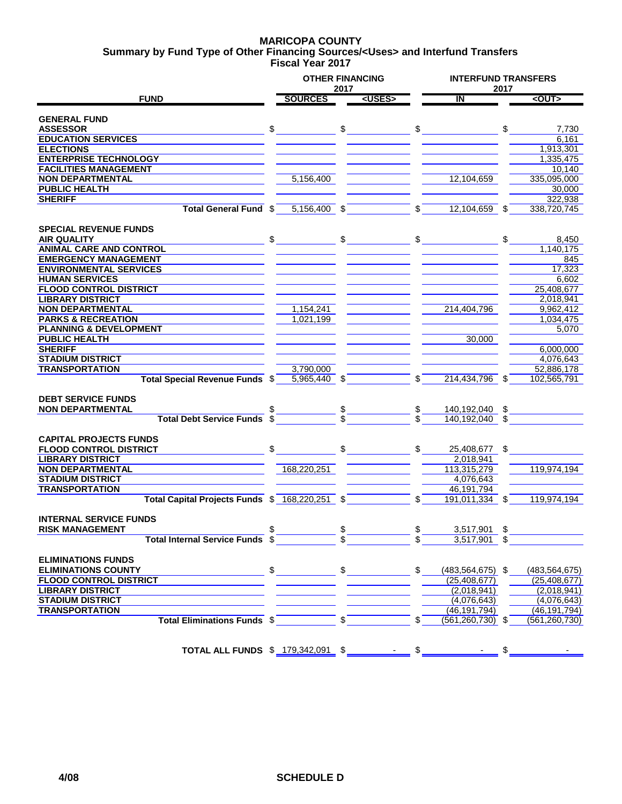### **MARICOPA COUNTY Fiscal Year 2017 Summary by Fund Type of Other Financing Sources/<Uses> and Interfund Transfers**

|                                                |                | 2017           | <b>OTHER FINANCING</b>                                                                                                                                                                                                                                                                                              |               |                         | 2017 | <b>INTERFUND TRANSFERS</b> |  |  |
|------------------------------------------------|----------------|----------------|---------------------------------------------------------------------------------------------------------------------------------------------------------------------------------------------------------------------------------------------------------------------------------------------------------------------|---------------|-------------------------|------|----------------------------|--|--|
| <b>FUND</b>                                    | <b>SOURCES</b> |                | <uses></uses>                                                                                                                                                                                                                                                                                                       |               | $\overline{\mathsf{I}}$ |      | <out></out>                |  |  |
|                                                |                |                |                                                                                                                                                                                                                                                                                                                     |               |                         |      |                            |  |  |
| <b>GENERAL FUND</b>                            |                |                |                                                                                                                                                                                                                                                                                                                     |               |                         |      |                            |  |  |
| <b>ASSESSOR</b>                                | \$             |                |                                                                                                                                                                                                                                                                                                                     | \$            |                         | \$   | 7,730                      |  |  |
| <b>EDUCATION SERVICES</b>                      |                |                |                                                                                                                                                                                                                                                                                                                     |               |                         |      | 6.161                      |  |  |
| <b>ELECTIONS</b>                               |                |                |                                                                                                                                                                                                                                                                                                                     |               |                         |      | 1,913,301                  |  |  |
| <b>ENTERPRISE TECHNOLOGY</b>                   |                |                |                                                                                                                                                                                                                                                                                                                     |               |                         |      | 1,335,475                  |  |  |
| <b>FACILITIES MANAGEMENT</b>                   |                |                |                                                                                                                                                                                                                                                                                                                     |               |                         |      | 10,140                     |  |  |
| <b>NON DEPARTMENTAL</b>                        | 5,156,400      |                |                                                                                                                                                                                                                                                                                                                     |               | 12,104,659              |      | 335,095,000                |  |  |
| <b>PUBLIC HEALTH</b>                           |                |                |                                                                                                                                                                                                                                                                                                                     |               |                         |      | 30,000                     |  |  |
| <b>SHERIFF</b>                                 |                |                |                                                                                                                                                                                                                                                                                                                     |               |                         |      | 322,938                    |  |  |
| Total General Fund \$                          | $5,156,400$ \$ |                |                                                                                                                                                                                                                                                                                                                     | \$            | $12,104,659$ \$         |      | 338,720,745                |  |  |
|                                                |                |                |                                                                                                                                                                                                                                                                                                                     |               |                         |      |                            |  |  |
| <b>SPECIAL REVENUE FUNDS</b>                   |                |                |                                                                                                                                                                                                                                                                                                                     |               |                         |      |                            |  |  |
| <b>AIR QUALITY</b>                             | \$             |                |                                                                                                                                                                                                                                                                                                                     | \$            |                         | \$   | 8,450                      |  |  |
| <b>ANIMAL CARE AND CONTROL</b>                 |                |                |                                                                                                                                                                                                                                                                                                                     |               |                         |      | 1,140,175                  |  |  |
| <b>EMERGENCY MANAGEMENT</b>                    |                |                |                                                                                                                                                                                                                                                                                                                     |               |                         |      | 845                        |  |  |
| <b>ENVIRONMENTAL SERVICES</b>                  |                |                |                                                                                                                                                                                                                                                                                                                     |               |                         |      | 17,323                     |  |  |
| <b>HUMAN SERVICES</b>                          |                |                |                                                                                                                                                                                                                                                                                                                     |               |                         |      | 6,602                      |  |  |
| <b>FLOOD CONTROL DISTRICT</b>                  |                |                |                                                                                                                                                                                                                                                                                                                     |               |                         |      | 25,408,677                 |  |  |
| <b>LIBRARY DISTRICT</b>                        |                |                |                                                                                                                                                                                                                                                                                                                     |               |                         |      | 2,018,941                  |  |  |
| <b>NON DEPARTMENTAL</b>                        | 1,154,241      |                |                                                                                                                                                                                                                                                                                                                     |               | 214,404,796             |      | 9,962,412                  |  |  |
| <b>PARKS &amp; RECREATION</b>                  | 1,021,199      |                |                                                                                                                                                                                                                                                                                                                     |               |                         |      | 1,034,475                  |  |  |
| <b>PLANNING &amp; DEVELOPMENT</b>              |                |                |                                                                                                                                                                                                                                                                                                                     |               |                         |      | 5,070                      |  |  |
| <b>PUBLIC HEALTH</b>                           |                |                |                                                                                                                                                                                                                                                                                                                     |               | 30,000                  |      |                            |  |  |
| <b>SHERIFF</b>                                 |                |                |                                                                                                                                                                                                                                                                                                                     |               |                         |      | 6.000.000                  |  |  |
| <b>STADIUM DISTRICT</b>                        |                |                |                                                                                                                                                                                                                                                                                                                     |               |                         |      | 4,076,643                  |  |  |
| <b>TRANSPORTATION</b>                          | 3,790,000      |                |                                                                                                                                                                                                                                                                                                                     |               |                         |      | 52,886,178                 |  |  |
| Total Special Revenue Funds \$                 | 5,965,440 \$   |                |                                                                                                                                                                                                                                                                                                                     | \$            | 214,434,796 \$          |      | 102,565,791                |  |  |
|                                                |                |                |                                                                                                                                                                                                                                                                                                                     |               |                         |      |                            |  |  |
| <b>DEBT SERVICE FUNDS</b>                      |                |                |                                                                                                                                                                                                                                                                                                                     |               |                         |      |                            |  |  |
| <b>NON DEPARTMENTAL</b>                        |                |                |                                                                                                                                                                                                                                                                                                                     | \$.           | 140,192,040 \$          |      |                            |  |  |
| <b>Total Debt Service Funds</b>                | \$             |                |                                                                                                                                                                                                                                                                                                                     |               | 140.192.040 \$          |      |                            |  |  |
|                                                |                |                |                                                                                                                                                                                                                                                                                                                     |               |                         |      |                            |  |  |
| <b>CAPITAL PROJECTS FUNDS</b>                  |                |                |                                                                                                                                                                                                                                                                                                                     |               |                         |      |                            |  |  |
| <b>FLOOD CONTROL DISTRICT</b>                  | \$             |                |                                                                                                                                                                                                                                                                                                                     | \$            | 25,408,677 \$           |      |                            |  |  |
| <b>LIBRARY DISTRICT</b>                        |                |                |                                                                                                                                                                                                                                                                                                                     |               | 2,018,941               |      |                            |  |  |
| <b>NON DEPARTMENTAL</b>                        | 168,220,251    |                |                                                                                                                                                                                                                                                                                                                     |               | 113.315.279             |      | 119,974,194                |  |  |
| <b>STADIUM DISTRICT</b>                        |                |                |                                                                                                                                                                                                                                                                                                                     |               | 4,076,643               |      |                            |  |  |
| <b>TRANSPORTATION</b>                          |                |                |                                                                                                                                                                                                                                                                                                                     |               | 46,191,794              |      |                            |  |  |
| Total Capital Projects Funds \$ 168,220,251 \$ |                |                |                                                                                                                                                                                                                                                                                                                     | \$            | 191,011,334             | \$   | 119,974,194                |  |  |
|                                                |                |                |                                                                                                                                                                                                                                                                                                                     |               |                         |      |                            |  |  |
| <b>INTERNAL SERVICE FUNDS</b>                  |                |                |                                                                                                                                                                                                                                                                                                                     |               |                         |      |                            |  |  |
| <b>RISK MANAGEMENT</b>                         |                |                |                                                                                                                                                                                                                                                                                                                     |               | 3,517,901               | \$   |                            |  |  |
| <b>Total Internal Service Funds \$</b>         |                |                |                                                                                                                                                                                                                                                                                                                     |               | $3,517,901$ \$          |      |                            |  |  |
|                                                |                |                |                                                                                                                                                                                                                                                                                                                     |               |                         |      |                            |  |  |
| <b>ELIMINATIONS FUNDS</b>                      |                |                |                                                                                                                                                                                                                                                                                                                     |               |                         |      |                            |  |  |
|                                                |                |                |                                                                                                                                                                                                                                                                                                                     | $\mathbb{S}$  |                         |      |                            |  |  |
| <b>ELIMINATIONS COUNTY</b>                     |                |                | $\frac{1}{2}$ $\frac{1}{2}$ $\frac{1}{2}$ $\frac{1}{2}$ $\frac{1}{2}$ $\frac{1}{2}$ $\frac{1}{2}$ $\frac{1}{2}$ $\frac{1}{2}$ $\frac{1}{2}$ $\frac{1}{2}$ $\frac{1}{2}$ $\frac{1}{2}$ $\frac{1}{2}$ $\frac{1}{2}$ $\frac{1}{2}$ $\frac{1}{2}$ $\frac{1}{2}$ $\frac{1}{2}$ $\frac{1}{2}$ $\frac{1}{2}$ $\frac{1}{2}$ |               | $(483, 564, 675)$ \$    |      | (483, 564, 675)            |  |  |
| <b>FLOOD CONTROL DISTRICT</b>                  |                |                |                                                                                                                                                                                                                                                                                                                     |               | (25, 408, 677)          |      | (25, 408, 677)             |  |  |
| <b>LIBRARY DISTRICT</b>                        |                |                |                                                                                                                                                                                                                                                                                                                     |               | (2,018,941)             |      | (2,018,941)                |  |  |
| <b>STADIUM DISTRICT</b>                        |                |                |                                                                                                                                                                                                                                                                                                                     |               | (4,076,643)             |      | (4,076,643)                |  |  |
| <b>TRANSPORTATION</b>                          |                |                |                                                                                                                                                                                                                                                                                                                     |               | (46, 191, 794)          |      | (46, 191, 794)             |  |  |
| Total Eliminations Funds \$                    |                | $\mathsf{s}^-$ |                                                                                                                                                                                                                                                                                                                     |               | $(561, 260, 730)$ \$    |      | (561, 260, 730)            |  |  |
|                                                |                |                |                                                                                                                                                                                                                                                                                                                     |               |                         |      |                            |  |  |
|                                                |                |                |                                                                                                                                                                                                                                                                                                                     |               |                         |      |                            |  |  |
| TOTAL ALL FUNDS \$ 179,342,091 \$              |                |                |                                                                                                                                                                                                                                                                                                                     | $\frac{1}{2}$ |                         |      |                            |  |  |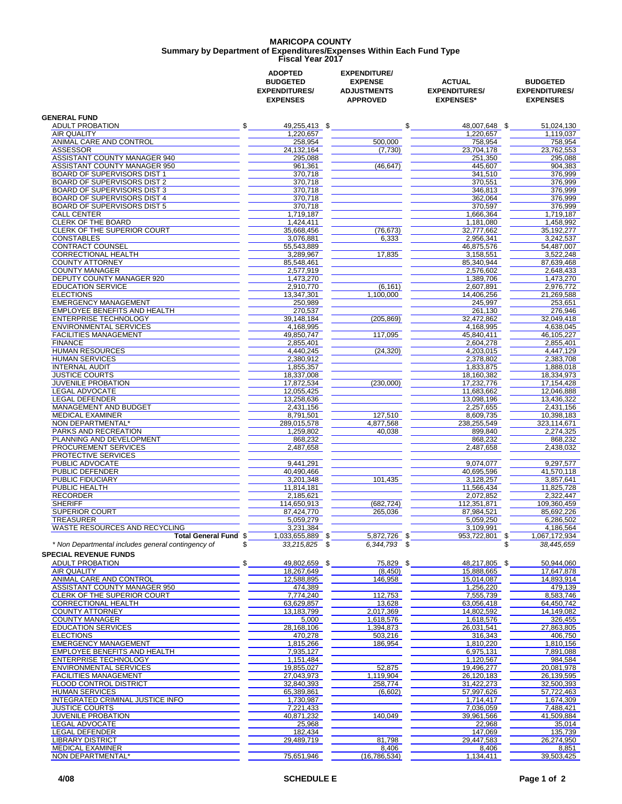## **MARICOPA COUNTY Fiscal Year 2017 Summary by Department of Expenditures/Expenses Within Each Fund Type**

|                                                          | <b>ADOPTED</b><br><b>BUDGETED</b><br><b>EXPENDITURES/</b><br><b>EXPENSES</b> | <b>EXPENDITURE/</b><br><b>EXPENSE</b><br><b>ADJUSTMENTS</b><br><b>APPROVED</b> | <b>ACTUAL</b><br><b>EXPENDITURES/</b><br><b>EXPENSES*</b> | <b>BUDGETED</b><br><b>EXPENDITURES/</b><br><b>EXPENSES</b> |
|----------------------------------------------------------|------------------------------------------------------------------------------|--------------------------------------------------------------------------------|-----------------------------------------------------------|------------------------------------------------------------|
| <b>GENERAL FUND</b>                                      |                                                                              |                                                                                |                                                           |                                                            |
| \$<br><b>ADULT PROBATION</b><br><b>AIR QUALITY</b>       | 49,255,413 \$<br>1,220,657                                                   | \$                                                                             | 48,007,648 \$<br>1.220.657                                | 51,024,130<br>1.119.037                                    |
| ANIMAL CARE AND CONTROL                                  | 258,954                                                                      | 500.000                                                                        | 758,954                                                   | 758,954                                                    |
| <b>ASSESSOR</b>                                          | 24, 132, 164                                                                 | (7,730)                                                                        | 23,704,178                                                | 23,762,553                                                 |
| ASSISTANT COUNTY MANAGER 940                             | 295,088                                                                      |                                                                                | 251,350                                                   | 295,088                                                    |
| ASSISTANT COUNTY MANAGER 950                             | 961.361                                                                      | (46, 647)                                                                      | 445,607                                                   | 904,383                                                    |
| <b>BOARD OF SUPERVISORS DIST 1</b>                       | 370,718                                                                      |                                                                                | 341,510                                                   | 376,999                                                    |
| <b>BOARD OF SUPERVISORS DIST 2</b>                       | 370,718                                                                      |                                                                                | 370,551                                                   | 376,999                                                    |
| <b>BOARD OF SUPERVISORS DIST 3</b>                       | 370,718                                                                      |                                                                                | 346,813                                                   | 376,999                                                    |
| <b>BOARD OF SUPERVISORS DIST 4</b>                       | 370.718                                                                      |                                                                                | 362,064                                                   | 376,999                                                    |
| BOARD OF SUPERVISORS DIST 5<br><b>CALL CENTER</b>        | 370.718<br>1,719,187                                                         |                                                                                | 370,597                                                   | 376,999<br>1,719,187                                       |
| <b>CLERK OF THE BOARD</b>                                | 1,424,411                                                                    |                                                                                | 1,666,364<br>1,181,080                                    | 1,458,992                                                  |
| CLERK OF THE SUPERIOR COURT                              | 35,668,456                                                                   | (76, 673)                                                                      | 32,777,662                                                | 35, 192, 277                                               |
| <b>CONSTABLES</b>                                        | 3,076,881                                                                    | 6,333                                                                          | 2,956,341                                                 | 3,242,537                                                  |
| <b>CONTRACT COUNSEL</b>                                  | 55,543,889                                                                   |                                                                                | 46,875,576                                                | 54,487,007                                                 |
| <b>CORRECTIONAL HEALTH</b>                               | 3,289,967                                                                    | 17,835                                                                         | 3,158,551                                                 | 3,522,248                                                  |
| <b>COUNTY ATTORNEY</b>                                   | 85,548,461                                                                   |                                                                                | 85,340,944                                                | 87,639,468                                                 |
| <b>COUNTY MANAGER</b>                                    | 2,577,919                                                                    |                                                                                | 2,576,602                                                 | 2.648.433                                                  |
| <b>DEPUTY COUNTY MANAGER 920</b>                         | 1.473.270                                                                    |                                                                                | 1,389,706                                                 | 1,473,270                                                  |
| <b>EDUCATION SERVICE</b>                                 | 2,910,770                                                                    | (6, 161)                                                                       | 2.607.891                                                 | 2.976.772                                                  |
| <b>ELECTIONS</b>                                         | 13,347,301                                                                   | 1,100,000                                                                      | 14,406,256                                                | 21,269,588                                                 |
| <b>EMERGENCY MANAGEMENT</b>                              | 250.989                                                                      |                                                                                | 245,997                                                   | 253,651                                                    |
| EMPLOYEE BENEFITS AND HEALTH                             | 270,537                                                                      |                                                                                | 261,130                                                   | 276,946                                                    |
| <b>ENTERPRISE TECHNOLOGY</b>                             | 39,148,184                                                                   | (205, 869)                                                                     | 32,472,862                                                | 32,049,418                                                 |
| <b>ENVIRONMENTAL SERVICES</b>                            | 4,168,995                                                                    |                                                                                | 4,168,995                                                 | 4,638,045                                                  |
| <b>FACILITIES MANAGEMENT</b>                             | 49,850,747                                                                   | 117,095                                                                        | 45,840,411                                                | 46.105.227                                                 |
| <b>FINANCE</b>                                           | 2,855,401                                                                    |                                                                                | 2.604.278                                                 | 2,855,401                                                  |
| <b>HUMAN RESOURCES</b><br><b>HUMAN SERVICES</b>          | 4,440,245                                                                    | (24, 320)                                                                      | 4.203.015                                                 | 4,447,129                                                  |
| <b>INTERNAL AUDIT</b>                                    | 2.380.912<br>1,855,357                                                       |                                                                                | 2,378,802<br>1,833,875                                    | 2,383,708<br>1,888,018                                     |
| <b>JUSTICE COURTS</b>                                    | 18,337,008                                                                   |                                                                                | 18,160,382                                                | 18,334,973                                                 |
| JUVENILE PROBATION                                       | 17,872,534                                                                   | (230,000)                                                                      | 17,232,776                                                | 17,154,428                                                 |
| LEGAL ADVOCATE                                           | 12,055,425                                                                   |                                                                                | 11,683,662                                                | 12,046,888                                                 |
| <b>LEGAL DEFENDER</b>                                    | 13,258,636                                                                   |                                                                                | 13,098,196                                                | 13,436,322                                                 |
| MANAGEMENT AND BUDGET                                    | 2,431,156                                                                    |                                                                                | 2,257,655                                                 | 2,431,156                                                  |
| <b>MEDICAL EXAMINER</b>                                  | 8,791,501                                                                    | 127,510                                                                        | 8,609,735                                                 | 10,398,183                                                 |
| NON DEPARTMENTAL*                                        | 289,015,578                                                                  | 4,877,568                                                                      | 238,255,549                                               | 323,114,671                                                |
| PARKS AND RECREATION                                     | 1,259,802                                                                    | 40,038                                                                         | 899,840                                                   | 2,274,325                                                  |
| PLANNING AND DEVELOPMENT                                 | 868,232                                                                      |                                                                                | 868,232                                                   | 868,232                                                    |
| PROCUREMENT SERVICES                                     | 2,487,658                                                                    |                                                                                | 2,487,658                                                 | 2,438,032                                                  |
| PROTECTIVE SERVICES                                      |                                                                              |                                                                                |                                                           |                                                            |
| PUBLIC ADVOCATE                                          | 9,441,291                                                                    |                                                                                | 9,074,077                                                 | 9.297.577                                                  |
| PUBLIC DEFENDER                                          | 40,490,466                                                                   |                                                                                | 40,695,596                                                | 41,570,118                                                 |
| PUBLIC FIDUCIARY                                         | 3,201,348                                                                    | 101,435                                                                        | 3,128,257                                                 | 3,857,641                                                  |
| PUBLIC HEALTH<br><b>RECORDER</b>                         | 11,814,181                                                                   |                                                                                | 11,566,434                                                | 11,825,728                                                 |
| <b>SHERIFF</b>                                           | 2,185,621<br>114,650,913                                                     | (682, 724)                                                                     | 2,072,852<br>112,351,871                                  | 2,322,447<br>109.360.459                                   |
| <b>SUPERIOR COURT</b>                                    | 87,424,770                                                                   | 265,036                                                                        | 87,984,521                                                | 85,692,226                                                 |
| TREASURER                                                | 5,059,279                                                                    |                                                                                | 5,059,250                                                 | 6,286,502                                                  |
| WASTE RESOURCES AND RECYCLING                            | 3,231,384                                                                    |                                                                                | 3,109,991                                                 | 4,186,564                                                  |
| Total General Fund \$                                    | 1,033,655,889 \$                                                             | 5,872,726 \$                                                                   | 953,722,801<br>\$                                         | 1,067,172,934                                              |
| * Non Departmental includes general contingency of<br>\$ | 33,215,825<br>- \$                                                           | 6,344,793 \$                                                                   | \$.                                                       | 38,445,659                                                 |
| <b>SPECIAL REVENUE FUNDS</b>                             |                                                                              |                                                                                |                                                           |                                                            |
| <b>ADULT PROBATION</b><br>\$                             | 49,802,659 \$                                                                | 75,829 \$                                                                      | 48,217,805 \$                                             | 50,944,060                                                 |
| AIR QUALITY                                              | 18,267,649                                                                   | (8, 450)                                                                       | 15,888,665                                                | 17,647,878                                                 |
| ANIMAL CARE AND CONTROL                                  | 12,588,895                                                                   | 146,958                                                                        | 15,014,087                                                | 14,893,914                                                 |
| ASSISTANT COUNTY MANAGER 950                             | 474,389                                                                      |                                                                                | 1,256,220                                                 | 479,139                                                    |
| CLERK OF THE SUPERIOR COURT                              | 7,774,240                                                                    | 112,753                                                                        | 7,555,739                                                 | 8,583,746                                                  |
| <b>CORRECTIONAL HEALTH</b>                               | 63,629,857                                                                   | 13,628                                                                         | 63,056,418                                                | 64,450,742                                                 |
| <b>COUNTY ATTORNEY</b>                                   | 13,183,799                                                                   | 2,017,369                                                                      | 14,802,592                                                | 14,149,082                                                 |
| <b>COUNTY MANAGER</b>                                    | 5,000                                                                        | 1,618,576                                                                      | 1,618,576                                                 | 326,455                                                    |
| <b>EDUCATION SERVICES</b>                                | 28,168,106                                                                   | 1,394,873                                                                      | 26,031,541                                                | 27,863,805                                                 |
| <b>ELECTIONS</b>                                         | 470,278                                                                      | 503,216                                                                        | 316,343                                                   | 406,750                                                    |
| <b>EMERGENCY MANAGEMENT</b>                              | 1,815,266                                                                    | 186,954                                                                        | 1,810,220                                                 | 1,810,156                                                  |
| EMPLOYEE BENEFITS AND HEALTH                             | 7,935,127                                                                    |                                                                                | 6,975,131                                                 | 7,891,088                                                  |
| <b>ENTERPRISE TECHNOLOGY</b>                             | 1,151,484                                                                    |                                                                                | 1,120,567                                                 | 984,584                                                    |
| <b>ENVIRONMENTAL SERVICES</b>                            | 19,855,027                                                                   | 52,875                                                                         | 19,496,277                                                | 20,081,978                                                 |
| <b>FACILITIES MANAGEMENT</b><br>FLOOD CONTROL DISTRICT   | 27,043,973<br>32,840,393                                                     | 1,119,904<br>258,774                                                           | 26,120,183<br>31,422,273                                  | 26,139,595<br>32,500,393                                   |
| <b>HUMAN SERVICES</b>                                    |                                                                              |                                                                                |                                                           |                                                            |
| INTEGRATED CRIMINAL JUSTICE INFO                         | 65,389,861<br>1,730,987                                                      | (6,602)                                                                        | 57,997,626<br>1,714,417                                   | 57,722,463<br>1,674,309                                    |
| <b>JUSTICE COURTS</b>                                    | 7,221,433                                                                    |                                                                                | 7,036,059                                                 | 7,488,421                                                  |
| <b>JUVENILE PROBATION</b>                                | 40,871,232                                                                   | 140,049                                                                        | 39,961,566                                                | 41,509,884                                                 |
| LEGAL ADVOCATE                                           | 25,968                                                                       |                                                                                | 22,968                                                    | 35,014                                                     |
| <b>LEGAL DEFENDER</b>                                    | 182,434                                                                      |                                                                                | 147,069                                                   | 135,739                                                    |
| <b>LIBRARY DISTRICT</b>                                  | 29,489,719                                                                   | 81,798                                                                         | 29,447,583                                                | 26,274,950                                                 |
| <b>MEDICAL EXAMINER</b>                                  |                                                                              | 8,406                                                                          | 8,406                                                     | 8,851                                                      |
| NON DEPARTMENTAL*                                        | 75,651,946                                                                   | (16, 786, 534)                                                                 | 1,134,411                                                 | 39,503,425                                                 |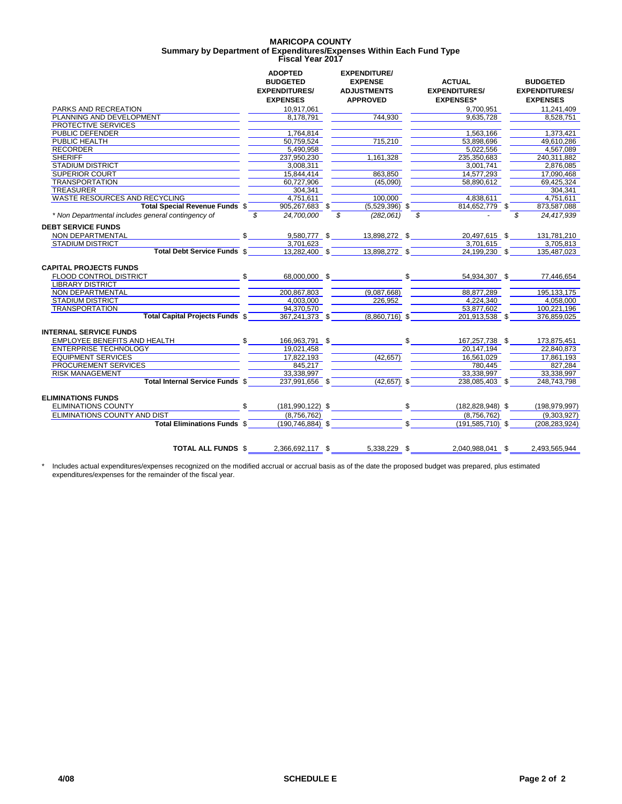# **MARICOPA COUNTY Fiscal Year 2017 Summary by Department of Expenditures/Expenses Within Each Fund Type**

|                                                    |     | <b>ADOPTED</b><br><b>BUDGETED</b><br><b>EXPENDITURES/</b><br><b>EXPENSES</b> |    | <b>EXPENDITURE/</b><br><b>EXPENSE</b><br><b>ADJUSTMENTS</b><br><b>APPROVED</b> |              | <b>ACTUAL</b><br><b>EXPENDITURES/</b><br><b>EXPENSES*</b> | <b>BUDGETED</b><br><b>EXPENDITURES/</b><br><b>EXPENSES</b> |
|----------------------------------------------------|-----|------------------------------------------------------------------------------|----|--------------------------------------------------------------------------------|--------------|-----------------------------------------------------------|------------------------------------------------------------|
| PARKS AND RECREATION                               |     | 10.917.061                                                                   |    |                                                                                |              | 9.700.951                                                 | 11.241.409                                                 |
| PLANNING AND DEVELOPMENT                           |     | 8,178,791                                                                    |    | 744.930                                                                        |              | 9,635,728                                                 | 8,528,751                                                  |
| <b>PROTECTIVE SERVICES</b>                         |     |                                                                              |    |                                                                                |              |                                                           |                                                            |
| PUBLIC DEFENDER                                    |     | 1.764.814                                                                    |    |                                                                                |              | 1.563.166                                                 | 1.373.421                                                  |
| PUBLIC HEALTH                                      |     | 50,759,524                                                                   |    | 715,210                                                                        |              | 53,898,696                                                | 49.610.286                                                 |
| <b>RECORDER</b>                                    |     | 5,490,958                                                                    |    |                                                                                |              | 5,022,556                                                 | 4,567,089                                                  |
| <b>SHERIFF</b>                                     |     | 237,950,230                                                                  |    | 1,161,328                                                                      |              | 235,350,683                                               | 240,311,882                                                |
| <b>STADIUM DISTRICT</b>                            |     | 3,008,311                                                                    |    |                                                                                |              | 3,001,741                                                 | 2,876,085                                                  |
| <b>SUPERIOR COURT</b>                              |     | 15.844.414                                                                   |    | 863.850                                                                        |              | 14.577.293                                                | 17.090.468                                                 |
| <b>TRANSPORTATION</b>                              |     | 60,727,906                                                                   |    | (45,090)                                                                       |              | 58,890,612                                                | 69,425,324                                                 |
| <b>TREASURER</b>                                   |     | 304,341                                                                      |    |                                                                                |              |                                                           | 304.341                                                    |
| WASTE RESOURCES AND RECYCLING                      |     | 4.751.611                                                                    |    | 100.000                                                                        |              | 4.838.611                                                 | 4.751.611                                                  |
| <b>Total Special Revenue Funds \$</b>              |     | 905,267,683 \$                                                               |    | $(5,529,396)$ \$                                                               |              | 814,652,779 \$                                            | 873,587,088                                                |
| * Non Departmental includes general contingency of | \$  | 24.700.000                                                                   | \$ | (282,061)                                                                      |              | $\mathcal{L}$                                             | \$<br>24,417,939                                           |
| <b>DEBT SERVICE FUNDS</b>                          |     |                                                                              |    |                                                                                |              |                                                           |                                                            |
| NON DEPARTMENTAL                                   | \$  | 9,580,777 \$                                                                 |    | 13,898,272 \$                                                                  |              | 20.497.615 \$                                             | 131.781.210                                                |
| <b>STADIUM DISTRICT</b>                            |     | 3.701.623                                                                    |    |                                                                                |              | 3.701.615                                                 | 3.705.813                                                  |
| <b>Total Debt Service Funds \$</b>                 |     | 13.282.400 \$                                                                |    | 13,898,272 \$                                                                  |              | 24,199,230 \$                                             | 135.487.023                                                |
| <b>CAPITAL PROJECTS FUNDS</b>                      |     |                                                                              |    |                                                                                |              |                                                           |                                                            |
| FLOOD CONTROL DISTRICT                             | \$  | 68,000,000 \$                                                                |    |                                                                                | $\mathbb{S}$ | 54,934,307 \$                                             | 77,446,654                                                 |
| <b>LIBRARY DISTRICT</b>                            |     |                                                                              |    |                                                                                |              |                                                           |                                                            |
| NON DEPARTMENTAL                                   |     | 200.867.803                                                                  |    | (9,087,668)                                                                    |              | 88.877.289                                                | 195.133.175                                                |
| <b>STADIUM DISTRICT</b>                            |     | 4,003,000                                                                    |    | 226,952                                                                        |              | 4.224.340                                                 | 4,058,000                                                  |
| <b>TRANSPORTATION</b>                              |     | 94.370.570                                                                   |    |                                                                                |              | 53.877.602                                                | 100.221.196                                                |
| <b>Total Capital Projects Funds \$</b>             |     | $367,241,373$ \$                                                             |    | $(8,860,716)$ \$                                                               |              | 201,913,538 \$                                            | 376,859,025                                                |
| <b>INTERNAL SERVICE FUNDS</b>                      |     |                                                                              |    |                                                                                |              |                                                           |                                                            |
| EMPLOYEE BENEFITS AND HEALTH                       | \$  | 166,963,791 \$                                                               |    |                                                                                |              | 167,257,738 \$                                            | 173,875,451                                                |
| <b>ENTERPRISE TECHNOLOGY</b>                       |     | 19.021.458                                                                   |    |                                                                                |              | 20.147.194                                                | 22.840.873                                                 |
| <b>EQUIPMENT SERVICES</b>                          |     | 17.822.193                                                                   |    | (42.657)                                                                       |              | 16.561.029                                                | 17.861.193                                                 |
| PROCUREMENT SERVICES                               |     | 845,217                                                                      |    |                                                                                |              | 780,445                                                   | 827,284                                                    |
| <b>RISK MANAGEMENT</b>                             |     | 33,338,997                                                                   |    |                                                                                |              | 33,338,997                                                | 33,338,997                                                 |
| Total Internal Service Funds \$                    |     | 237,991,656 \$                                                               |    | $(42,657)$ \$                                                                  |              | 238,085,403 \$                                            | 248,743,798                                                |
| <b>ELIMINATIONS FUNDS</b>                          |     |                                                                              |    |                                                                                |              |                                                           |                                                            |
| <b>ELIMINATIONS COUNTY</b>                         | \$. | $(181, 990, 122)$ \$                                                         |    |                                                                                | $\mathbb{S}$ | $(182, 828, 948)$ \$                                      | (198, 979, 997)                                            |
| <b>ELIMINATIONS COUNTY AND DIST</b>                |     | (8,756,762)                                                                  |    |                                                                                |              | (8,756,762)                                               | (9,303,927)                                                |
| <b>Total Eliminations Funds \$</b>                 |     | $(190, 746, 884)$ \$                                                         |    |                                                                                |              | $(191, 585, 710)$ \$                                      | (208, 283, 924)                                            |
|                                                    |     |                                                                              |    |                                                                                |              |                                                           |                                                            |
| <b>TOTAL ALL FUNDS \$</b>                          |     | 2.366.692.117 \$                                                             |    | 5.338.229 \$                                                                   |              | 2.040.988.041 \$                                          | 2.493.565.944                                              |
|                                                    |     |                                                                              |    |                                                                                |              |                                                           |                                                            |

\* Includes actual expenditures/expenses recognized on the modified accrual or accrual basis as of the date the proposed budget was prepared, plus estimated expenditures/expenses for the remainder of the fiscal year.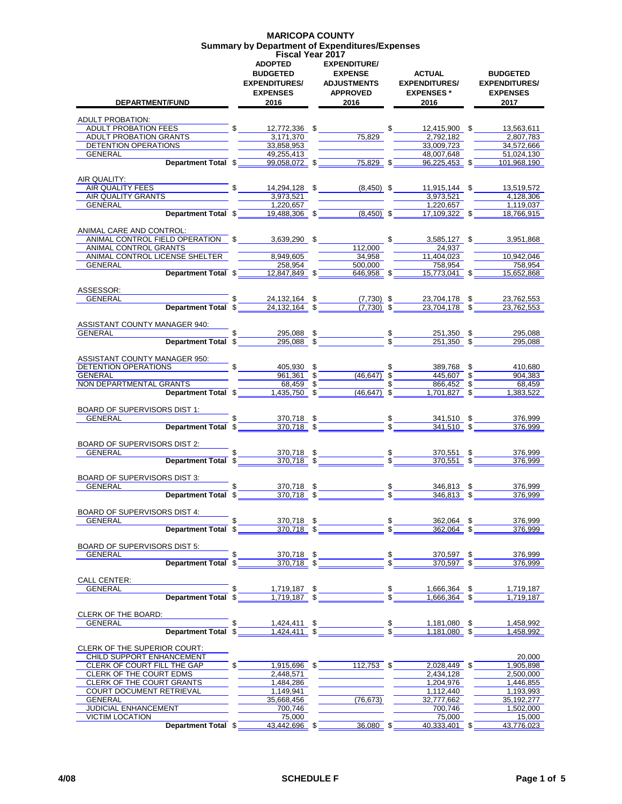### **MARICOPA COUNTY Summary by Department of Expenditures/Expenses Fiscal Year 2017**

| <b>DEPARTMENT/FUND</b>                                                                                                                                                                                                                              | <b>ADOPTED</b><br><b>BUDGETED</b><br><b>EXPENDITURES/</b><br><b>EXPENSES</b><br>2016 | <b>EXPENDITURE/</b><br><b>EXPENSE</b><br><b>ADJUSTMENTS</b><br><b>APPROVED</b><br>2016 |               | ACTUAL<br><b>EXPENDITURES/</b><br><b>EXPENSES</b> *<br>2016                                                                                                                                                                                                                                                                                                                        | <b>BUDGETED</b><br><b>EXPENDITURES/</b><br><b>EXPENSES</b><br>2017 |
|-----------------------------------------------------------------------------------------------------------------------------------------------------------------------------------------------------------------------------------------------------|--------------------------------------------------------------------------------------|----------------------------------------------------------------------------------------|---------------|------------------------------------------------------------------------------------------------------------------------------------------------------------------------------------------------------------------------------------------------------------------------------------------------------------------------------------------------------------------------------------|--------------------------------------------------------------------|
| ADULT PROBATION:                                                                                                                                                                                                                                    |                                                                                      |                                                                                        |               |                                                                                                                                                                                                                                                                                                                                                                                    |                                                                    |
| ADULT PROBATION FEES                                                                                                                                                                                                                                |                                                                                      |                                                                                        |               | $\frac{\$}{100000}$ $\frac{\$}{2,772,336}$ $\frac{\$}{2,792,182}$ $\frac{\$}{2,792,182}$ $\frac{\$}{2,792,182}$                                                                                                                                                                                                                                                                    | 13,563,611                                                         |
| ADULT PROBATION GRANTS<br>DETENTION OPERATIONS                                                                                                                                                                                                      |                                                                                      |                                                                                        |               |                                                                                                                                                                                                                                                                                                                                                                                    | 2,807,783                                                          |
| GENERAL                                                                                                                                                                                                                                             | 33,858,953<br>49,255,413                                                             |                                                                                        |               | 33,009,723<br>48.007,648                                                                                                                                                                                                                                                                                                                                                           | 34,572,666<br>51.024.130                                           |
|                                                                                                                                                                                                                                                     |                                                                                      | <b>Department Total \$</b> 99,058,072 \$ 75,829 \$                                     |               | $96,225,453$ \$                                                                                                                                                                                                                                                                                                                                                                    | 101,968,190                                                        |
|                                                                                                                                                                                                                                                     |                                                                                      |                                                                                        |               |                                                                                                                                                                                                                                                                                                                                                                                    |                                                                    |
| AIR QUALITY:                                                                                                                                                                                                                                        |                                                                                      |                                                                                        |               |                                                                                                                                                                                                                                                                                                                                                                                    | 13,519,572                                                         |
| <b>EXAMPLE 11.</b><br>AIR QUALITY FEES $\frac{14,294,128}{1000}$ $\frac{5}{1000}$ $\frac{14,294,128}{1000}$ $\frac{5}{1000}$ $\frac{10,450}{1000}$ $\frac{5}{1000}$ $\frac{11,915,144}{2,072,521}$ $\frac{5}{1000}$<br>AIR QUALITY GRANTS           | 3,973,521                                                                            |                                                                                        |               | 3,973,521                                                                                                                                                                                                                                                                                                                                                                          | 4,128,306                                                          |
| GENERAL <b>CONTRACT CONTRACT CONTRACT CONTRACT CONTRACT CONTRACT CONTRACT CONTRACT CONTRACT CONTRACT CONTRACT CONTRACT CONTRACT CONTRACT CONTRACT CONTRACT CONTRACT CONTRACT CONTRACT CONTRACT CONTRACT CONTRACT CONTRACT CONTRA</b>                | 1,220,657                                                                            |                                                                                        |               | 1,220,657                                                                                                                                                                                                                                                                                                                                                                          | 1,119,037                                                          |
|                                                                                                                                                                                                                                                     |                                                                                      |                                                                                        |               | <b>Department Total \$10.488.306 \$10.488.306 \$10.49.499 \$10.49.49 \$10.49.49 \$10.49.49 \$10.49.49 \$10.49 \$10.49 \$10.49 \$10.49 \$10.49 \$10.49 \$10.49 \$10.49 \$10.49 \$10.49 \$10.49 \$10.49 \$10.49 \$10.49 \$10.49 \$10.49 \$10.49 \$10.49 \$10</b>                                                                                                                     |                                                                    |
| ANIMAL CARE AND CONTROL:                                                                                                                                                                                                                            |                                                                                      |                                                                                        |               |                                                                                                                                                                                                                                                                                                                                                                                    |                                                                    |
| ANIMAL CONTROL FIELD OPERATION $$$ 3,639,290 $$$ $$$ 3,039,200 $$$ $$$ 3,958,127 $$$ $$$ 3,951,868 ANIMAL CONTROL GRANTS                                                                                                                            |                                                                                      |                                                                                        |               |                                                                                                                                                                                                                                                                                                                                                                                    |                                                                    |
| ANIMAL CONTROL LICENSE SHELTER                                                                                                                                                                                                                      | 8,949,605                                                                            | 34,958                                                                                 |               | 11,404,023                                                                                                                                                                                                                                                                                                                                                                         | 10,942,046                                                         |
|                                                                                                                                                                                                                                                     |                                                                                      |                                                                                        |               | <b>Department Total \$</b> 258,954<br><b>Department Total \$</b> 12,847,849 \$ 646,958 \$ 15,773,041 \$                                                                                                                                                                                                                                                                            | 758,954                                                            |
|                                                                                                                                                                                                                                                     |                                                                                      |                                                                                        |               |                                                                                                                                                                                                                                                                                                                                                                                    | 15,652,868                                                         |
| ASSESSOR:<br>GENERAL                                                                                                                                                                                                                                |                                                                                      |                                                                                        |               |                                                                                                                                                                                                                                                                                                                                                                                    |                                                                    |
|                                                                                                                                                                                                                                                     |                                                                                      |                                                                                        |               | <b>Example 18</b> 5 34,132,164 5 35 33,704,178 5 3,762,553<br>Department Total $\frac{1}{3}$ $\frac{24,132,164}{24,132,164}$ $\frac{24,132,164}{24,132,164}$ $\frac{24,132,164}{24,132,164}$ $\frac{24,132,164}{24,132,164}$ $\frac{24,132,164}{24,132,164}$                                                                                                                       | 23,762,553                                                         |
|                                                                                                                                                                                                                                                     |                                                                                      |                                                                                        |               |                                                                                                                                                                                                                                                                                                                                                                                    |                                                                    |
| ASSISTANT COUNTY MANAGER 940:                                                                                                                                                                                                                       |                                                                                      |                                                                                        |               |                                                                                                                                                                                                                                                                                                                                                                                    | 295,088                                                            |
| GENERAL <b>Department Tota</b>                                                                                                                                                                                                                      |                                                                                      |                                                                                        |               | <b>Exercise 18.1.350</b> $\frac{1000 \times 1000 \times 1000 \times 1000 \times 1000 \times 1000 \times 1000 \times 1000 \times 1000 \times 1000 \times 1000 \times 1000 \times 1000 \times 1000 \times 1000 \times 1000 \times 1000 \times 1000 \times 1000 \times 1000 \times 1000 \times 1000 \times 1000 \times 1000 \times 1000 \times 1000 \times 1000 \times 1000 \times 1$ | 295,088                                                            |
|                                                                                                                                                                                                                                                     |                                                                                      |                                                                                        |               |                                                                                                                                                                                                                                                                                                                                                                                    |                                                                    |
| ASSISTANT COUNTY MANAGER 950:                                                                                                                                                                                                                       |                                                                                      |                                                                                        |               |                                                                                                                                                                                                                                                                                                                                                                                    |                                                                    |
| DETENTION OPERATIONS                                                                                                                                                                                                                                |                                                                                      |                                                                                        |               | $\begin{array}{c cccc} \text{\$} & 405,930 & \text{\$} & \text{\$} & \text{\$} & 389,768 & \text{\$} & 410,680 \\ \hline & 961,361 & \text{\$} & 446,647) & \text{\$} & 445,607 & \text{\$} & 904,383 \\ \hline & 68,459 & \text{\$} & & \text{\$} & \text{\$} & 866,452 & \text{\$} & 68,459 \\ \end{array}$                                                                      |                                                                    |
| NON DEPARTMENTAL GRANTS                                                                                                                                                                                                                             |                                                                                      |                                                                                        |               |                                                                                                                                                                                                                                                                                                                                                                                    |                                                                    |
| GRANTS 68,459 \$<br>Department Total \$ 1,435,750 \$ 46,647) \$ 1,701,827 \$                                                                                                                                                                        |                                                                                      |                                                                                        |               |                                                                                                                                                                                                                                                                                                                                                                                    | $\overline{1,}383,522$                                             |
|                                                                                                                                                                                                                                                     |                                                                                      |                                                                                        |               |                                                                                                                                                                                                                                                                                                                                                                                    |                                                                    |
| BOARD OF SUPERVISORS DIST 1:                                                                                                                                                                                                                        |                                                                                      |                                                                                        |               |                                                                                                                                                                                                                                                                                                                                                                                    | 376,999                                                            |
| GENERAL<br>Department                                                                                                                                                                                                                               |                                                                                      |                                                                                        |               | <u>Example 10 and the contract of the set of the set of the set of the set of the set of the set of the set of the set of the set of the set of the set of the set of the set of the set of the set of the set of the set of the</u>                                                                                                                                               | 376,999                                                            |
|                                                                                                                                                                                                                                                     |                                                                                      |                                                                                        |               |                                                                                                                                                                                                                                                                                                                                                                                    |                                                                    |
| BOARD OF SUPERVISORS DIST 2:                                                                                                                                                                                                                        |                                                                                      |                                                                                        |               |                                                                                                                                                                                                                                                                                                                                                                                    |                                                                    |
| <u>GENERAL Department Total <math>\frac{1}{3}</math> and the set of the set of the set of the set of the set of the set of the set of the set of the set of the set of the set of the set of the set of the set of the set of the set of the se</u> |                                                                                      |                                                                                        |               |                                                                                                                                                                                                                                                                                                                                                                                    | 376,999<br>376,999                                                 |
|                                                                                                                                                                                                                                                     |                                                                                      |                                                                                        |               |                                                                                                                                                                                                                                                                                                                                                                                    |                                                                    |
| BOARD OF SUPERVISORS DIST 3:                                                                                                                                                                                                                        |                                                                                      |                                                                                        |               |                                                                                                                                                                                                                                                                                                                                                                                    |                                                                    |
| GENERAL <b>Department Total \$</b> 370,718 \$ 370,718 \$ 346,813 \$                                                                                                                                                                                 |                                                                                      |                                                                                        |               |                                                                                                                                                                                                                                                                                                                                                                                    | 376,999                                                            |
|                                                                                                                                                                                                                                                     |                                                                                      |                                                                                        |               |                                                                                                                                                                                                                                                                                                                                                                                    | 376.999                                                            |
| <b>BOARD OF SUPERVISORS DIST 4:</b>                                                                                                                                                                                                                 |                                                                                      |                                                                                        |               |                                                                                                                                                                                                                                                                                                                                                                                    |                                                                    |
| GENERAL                                                                                                                                                                                                                                             | \$<br>370,718 \$                                                                     |                                                                                        | \$            | 362,064 \$                                                                                                                                                                                                                                                                                                                                                                         | 376,999                                                            |
| Department Total \$                                                                                                                                                                                                                                 | $370,718$ \$                                                                         |                                                                                        |               | 362,064 \$                                                                                                                                                                                                                                                                                                                                                                         | 376,999                                                            |
| BOARD OF SUPERVISORS DIST 5:                                                                                                                                                                                                                        |                                                                                      |                                                                                        |               |                                                                                                                                                                                                                                                                                                                                                                                    |                                                                    |
| GENERAL                                                                                                                                                                                                                                             |                                                                                      |                                                                                        |               |                                                                                                                                                                                                                                                                                                                                                                                    | 376,999                                                            |
| Department Total \$                                                                                                                                                                                                                                 |                                                                                      | $\frac{370,718}{370,718}$ \$                                                           |               | $\frac{370,597}{370,597}$ \$                                                                                                                                                                                                                                                                                                                                                       | 376.999                                                            |
|                                                                                                                                                                                                                                                     |                                                                                      |                                                                                        |               |                                                                                                                                                                                                                                                                                                                                                                                    |                                                                    |
| <b>CALL CENTER:</b><br>GENERAL                                                                                                                                                                                                                      | 1,719,187 \$                                                                         |                                                                                        | \$            | 1,666,364 \$                                                                                                                                                                                                                                                                                                                                                                       | 1,719,187                                                          |
| Department Total \$                                                                                                                                                                                                                                 | $1,719,187$ \$                                                                       |                                                                                        |               | 1,666,364                                                                                                                                                                                                                                                                                                                                                                          | 1,719,187                                                          |
|                                                                                                                                                                                                                                                     |                                                                                      |                                                                                        |               |                                                                                                                                                                                                                                                                                                                                                                                    |                                                                    |
| CLERK OF THE BOARD:                                                                                                                                                                                                                                 |                                                                                      |                                                                                        |               |                                                                                                                                                                                                                                                                                                                                                                                    |                                                                    |
| <b>GENERAL</b><br>Department Total \$                                                                                                                                                                                                               | $1,424,411$ \$                                                                       | $1,424,411$ \$                                                                         | $\frac{3}{3}$ | 1,181,080 \$<br>$1,181,080$ \$                                                                                                                                                                                                                                                                                                                                                     | 1,458,992<br>1.458.992                                             |
|                                                                                                                                                                                                                                                     |                                                                                      |                                                                                        |               |                                                                                                                                                                                                                                                                                                                                                                                    |                                                                    |
| CLERK OF THE SUPERIOR COURT:                                                                                                                                                                                                                        |                                                                                      |                                                                                        |               |                                                                                                                                                                                                                                                                                                                                                                                    |                                                                    |
| CHILD SUPPORT ENHANCEMENT                                                                                                                                                                                                                           |                                                                                      |                                                                                        |               |                                                                                                                                                                                                                                                                                                                                                                                    | 20,000                                                             |
| CLERK OF COURT FILL THE GAP<br>CLERK OF THE COURT EDMS                                                                                                                                                                                              | 1,915,696 \$<br>2,448,571                                                            | 112,753 \$                                                                             |               | 2,028,449 \$<br>2,434,128                                                                                                                                                                                                                                                                                                                                                          | 1,905,898<br>2,500,000                                             |
| CLERK OF THE COURT GRANTS                                                                                                                                                                                                                           | 1,484,286                                                                            |                                                                                        |               | 1,204,976                                                                                                                                                                                                                                                                                                                                                                          | 1,446,855                                                          |
| COURT DOCUMENT RETRIEVAL                                                                                                                                                                                                                            | 1,149,941                                                                            |                                                                                        |               | 1,112,440                                                                                                                                                                                                                                                                                                                                                                          | 1,193,993                                                          |
| GENERAL                                                                                                                                                                                                                                             | 35,668,456                                                                           | (76, 673)                                                                              |               | 32,777,662                                                                                                                                                                                                                                                                                                                                                                         | 35, 192, 277                                                       |
| JUDICIAL ENHANCEMENT<br><b>VICTIM LOCATION</b>                                                                                                                                                                                                      | 700,746<br>75,000                                                                    |                                                                                        |               | 700,746<br>75,000                                                                                                                                                                                                                                                                                                                                                                  | 1,502,000<br>15,000                                                |
| Department Total \$                                                                                                                                                                                                                                 | 43,442,696 \$                                                                        | 36,080 \$                                                                              |               | $40,333,401$ \$                                                                                                                                                                                                                                                                                                                                                                    | 43,776,023                                                         |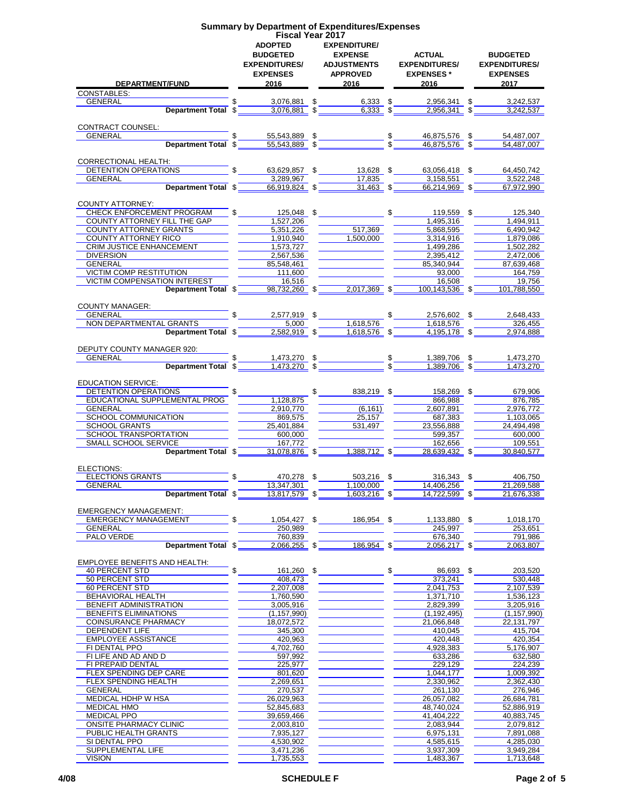|                                      |               |                                   | <b>Summary by Department of Expenditures/Expenses</b> |                                                                      |                      |
|--------------------------------------|---------------|-----------------------------------|-------------------------------------------------------|----------------------------------------------------------------------|----------------------|
|                                      |               | <b>Fiscal Year 2017</b>           |                                                       |                                                                      |                      |
|                                      |               | <b>ADOPTED</b>                    | <b>EXPENDITURE/</b>                                   |                                                                      |                      |
|                                      |               | <b>BUDGETED</b>                   | <b>EXPENSE</b>                                        | ACTUAL                                                               | <b>BUDGETED</b>      |
|                                      |               | <b>EXPENDITURES/</b>              | <b>ADJUSTMENTS</b>                                    | <b>EXPENDITURES/</b>                                                 | <b>EXPENDITURES/</b> |
|                                      |               | <b>EXPENSES</b>                   | <b>APPROVED</b>                                       | <b>EXPENSES</b> *                                                    | <b>EXPENSES</b>      |
| DEPARTMENT/FUND                      |               | 2016                              | 2016                                                  | 2016                                                                 | 2017                 |
| <b>CONSTABLES:</b>                   |               |                                   |                                                       |                                                                      |                      |
| GENERAL                              |               | 3,076,881 \$                      | $6,333$ \$                                            | 2,956,341 \$                                                         | 3,242,537            |
| Department Total \$                  |               | $3,076,881$ \$                    | $6,333$ \$                                            | $2,956,341$ \$                                                       | 3,242,537            |
|                                      |               |                                   |                                                       |                                                                      |                      |
| CONTRACT COUNSEL:                    |               |                                   |                                                       |                                                                      |                      |
| GENERAL                              |               | 55,543,889 \$                     |                                                       | $\frac{\$}{\$}$ $\frac{\$}{\$}$ $\frac{46,875,576}{46.875,576}$ $\$$ | 54,487,007           |
|                                      |               | Department Total \$ 55.543.889 \$ |                                                       |                                                                      | 54,487,007           |
| <b>CORRECTIONAL HEALTH:</b>          |               |                                   |                                                       |                                                                      |                      |
| DETENTION OPERATIONS                 |               | $\mathbb{S}$                      | 63,629,857 \$13,628 \$                                | 63,056,418 \$                                                        | 64,450,742           |
| GENERAL                              |               | 3,289,967                         | 17,835                                                | 3,158,551                                                            | 3,522,248            |
| Department Total \$                  |               | $66,919,824$ \$                   | $31,463$ \$                                           | 66,214,969 \$                                                        | 67,972,990           |
|                                      |               |                                   |                                                       |                                                                      |                      |
| <b>COUNTY ATTORNEY:</b>              |               |                                   |                                                       |                                                                      |                      |
| CHECK ENFORCEMENT PROGRAM            | \$            | $125,048$ \$                      |                                                       | $$ 119,559$ \$                                                       | 125,340              |
| COUNTY ATTORNEY FILL THE GAP         |               | 1,527,206                         |                                                       | 1,495,316                                                            | 1,494,911            |
| <b>COUNTY ATTORNEY GRANTS</b>        |               | 5,351,226                         | 517,369                                               | 5,868,595                                                            | 6,490,942            |
| COUNTY ATTORNEY RICO                 |               | 1.910.940                         | 1.500.000                                             | 3,314,916                                                            | 1,879,086            |
|                                      |               |                                   |                                                       |                                                                      |                      |
| <b>CRIM JUSTICE ENHANCEMENT</b>      |               | 1,573,727                         |                                                       | 1,499,286                                                            | 1,502,282            |
| <b>DIVERSION</b>                     |               | 2,567,536                         |                                                       | 2,395,412                                                            | 2,472,006            |
| GENERAL                              |               | 85,548,461                        |                                                       | 85,340,944                                                           | 87,639,468           |
| <b>VICTIM COMP RESTITUTION</b>       |               | 111,600                           |                                                       | 93,000                                                               | 164,759              |
| <b>VICTIM COMPENSATION INTEREST</b>  |               | 16,516                            |                                                       | 16.508                                                               | 19,756               |
| Department Total \$                  |               | 98,732,260 \$                     | 2,017,369 \$                                          | 100,143,536 \$                                                       | 101.788.550          |
|                                      |               |                                   |                                                       |                                                                      |                      |
| <b>COUNTY MANAGER:</b>               |               |                                   |                                                       |                                                                      |                      |
| GENERAL                              | $\frac{1}{2}$ | 2,577,919 \$                      |                                                       | 2,576,602 \$                                                         | 2,648,433            |
| NON DEPARTMENTAL GRANTS              |               | 5,000                             | 1,618,576                                             | 1,618,576                                                            | 326,455              |
| Department Total \$                  |               | $2,582,919$ \$                    | $1,618,576$ \$                                        | 4.195.178 \$                                                         | 2.974.888            |
|                                      |               |                                   |                                                       |                                                                      |                      |
| DEPUTY COUNTY MANAGER 920:           |               |                                   |                                                       |                                                                      |                      |
| GENERAL                              | $\frac{1}{2}$ | 1,473,270 \$                      |                                                       | $\frac{$}{\$}$ $\frac{1,389,706}{1,389,706}$ $\frac{8}{\$}$          | 1,473,270            |
| Department Total \$                  |               | $1,473,270$ \$                    |                                                       |                                                                      | 1,473,270            |
|                                      |               |                                   |                                                       |                                                                      |                      |
| <b>EDUCATION SERVICE:</b>            |               |                                   |                                                       |                                                                      |                      |
| DETENTION OPERATIONS                 |               |                                   | $\sim$<br>838,219 \$                                  | 158,269 \$                                                           | 679,906              |
| EDUCATIONAL SUPPLEMENTAL PROG        |               | 1,128,875                         |                                                       | 866,988                                                              | 876,785              |
| GENERAL                              |               | 2,910,770                         | (6, 161)                                              | 2,607,891                                                            | 2,976,772            |
| SCHOOL COMMUNICATION                 |               | 869,575                           | 25.157                                                | 687,383                                                              | 1,103,065            |
| <b>SCHOOL GRANTS</b>                 |               | 25,401,884                        | 531,497                                               | 23,556,888                                                           | 24,494,498           |
| SCHOOL TRANSPORTATION                |               | 600,000                           |                                                       | 599,357                                                              | 600,000              |
| SMALL SCHOOL SERVICE                 |               | 167.772                           |                                                       | 162.656                                                              | 109,551              |
| Department Total \$                  |               | 31,078,876 \$                     | 1,388,712 \$                                          | 28.639.432 \$                                                        | 30.840.577           |
|                                      |               |                                   |                                                       |                                                                      |                      |
| ELECTIONS:                           |               |                                   |                                                       |                                                                      |                      |
| <b>ELECTIONS GRANTS</b>              |               | 470,278 \$                        | 503,216 \$                                            | $316,343$ \$                                                         | 406,750              |
| GENERAL                              |               | 13,347,301                        | 1,100,000                                             | 14,406,256                                                           | 21,269,588           |
| Department Total \$                  |               | 13,817,579 \$                     | $1,603,216$ \$                                        | 14,722,599 \$                                                        | 21,676,338           |
|                                      |               |                                   |                                                       |                                                                      |                      |
| <b>EMERGENCY MANAGEMENT:</b>         |               |                                   |                                                       |                                                                      |                      |
| <b>EMERGENCY MANAGEMENT</b>          | \$            | 1,054,427 \$                      | 186,954 \$                                            | 1,133,880 \$                                                         | 1,018,170            |
| <b>GENERAL</b>                       |               | 250,989                           |                                                       | 245.997                                                              | 253,651              |
| PALO VERDE                           |               | 760.839                           |                                                       | 676,340                                                              | 791,986              |
| Department Total \$                  |               | $2,066,255$ \$                    | 186,954 \$                                            | $2,056,217$ \$                                                       | 2.063.807            |
|                                      |               |                                   |                                                       |                                                                      |                      |
| <b>EMPLOYEE BENEFITS AND HEALTH:</b> |               |                                   |                                                       |                                                                      |                      |
| <b>40 PERCENT STD</b>                | \$            | 161,260 \$                        |                                                       | \$<br>86,693 \$                                                      | 203,520              |
| 50 PERCENT STD                       |               | 408,473                           |                                                       | 373,241                                                              | 530,448              |
| 60 PERCENT STD                       |               | 2,207,008                         |                                                       | 2,041,753                                                            | 2,107,539            |
| BEHAVIORAL HEALTH                    |               | 1,760,590                         |                                                       | 1,371,710                                                            | 1,536,123            |
| BENEFIT ADMINISTRATION               |               | 3,005,916                         |                                                       | 2,829,399                                                            | 3,205,916            |
| BENEFITS ELIMINATIONS                |               | (1, 157, 990)                     |                                                       | (1, 192, 495)                                                        | (1, 157, 990)        |
| COINSURANCE PHARMACY                 |               | 18,072,572                        |                                                       | 21,066,848                                                           | 22,131,797           |
| DEPENDENT LIFE                       |               | 345,300                           |                                                       | 410,045                                                              | 415,704              |
| <b>EMPLOYEE ASSISTANCE</b>           |               | 420,963                           |                                                       | 420,448                                                              | 420,354              |
| FI DENTAL PPO                        |               | 4,702,760                         |                                                       | 4,928,383                                                            | 5,176,907            |
| FI LIFE AND AD AND D                 |               | 597,992                           |                                                       | 633,286                                                              | 632,580              |
| FI PREPAID DENTAL                    |               | 225,977                           |                                                       | 229,129                                                              | 224,239              |
|                                      |               |                                   |                                                       |                                                                      |                      |
| FLEX SPENDING DEP CARE               |               | 801,620                           |                                                       | 1,044,177                                                            | 1,009,392            |
| FLEX SPENDING HEALTH                 |               | 2,269,651                         |                                                       | 2,330,962                                                            | 2,362,430            |
| <b>GENERAL</b>                       |               | 270,537                           |                                                       | 261,130                                                              | 276,946              |
| MEDICAL HDHP W HSA                   |               | 26,029,963                        |                                                       | 26,057,082                                                           | 26,684,781           |
| <b>MEDICAL HMO</b>                   |               | 52,845,683                        |                                                       | 48,740,024                                                           | 52,886,919           |
| <b>MEDICAL PPO</b>                   |               | 39,659,466                        |                                                       | 41,404,222                                                           | 40,883,745           |
| <b>ONSITE PHARMACY CLINIC</b>        |               | 2,003,810                         |                                                       | 2,083,944                                                            | 2,079,812            |
| PUBLIC HEALTH GRANTS                 |               | 7,935,127                         |                                                       | 6,975,131                                                            | 7,891,088            |
| SI DENTAL PPO                        |               | 4,530,902                         |                                                       | 4,585,615                                                            | 4,285,030            |

SUPPLEMENTAL LIFE 3,471,236 3,937,309 3,949,284 VISION 1,735,553 1,483,367 1,713,648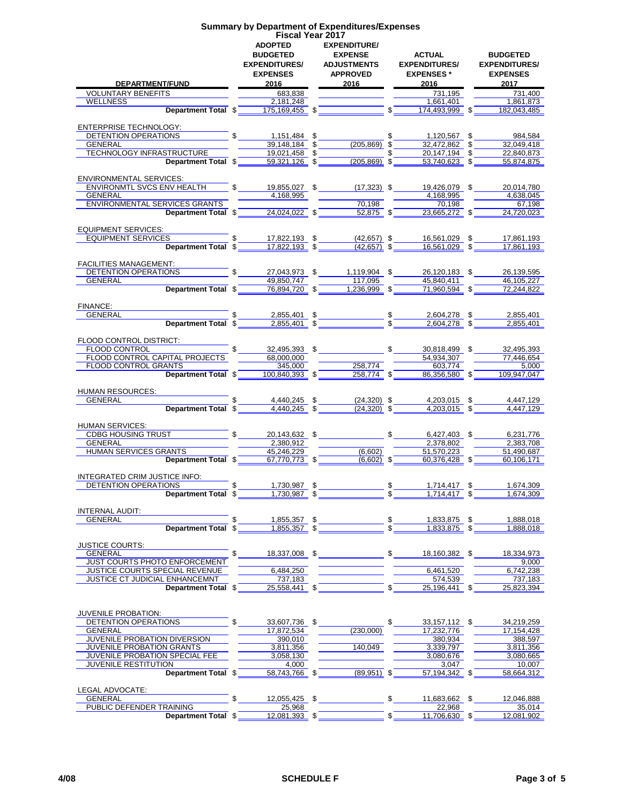|                                      |                               | <b>Fiscal Year 2017</b>   |               |                               |                      |
|--------------------------------------|-------------------------------|---------------------------|---------------|-------------------------------|----------------------|
|                                      | <b>ADOPTED</b>                | <b>EXPENDITURE/</b>       |               |                               |                      |
|                                      |                               |                           |               |                               |                      |
|                                      | <b>BUDGETED</b>               | <b>EXPENSE</b>            |               | <b>ACTUAL</b>                 | <b>BUDGETED</b>      |
|                                      | <b>EXPENDITURES/</b>          | <b>ADJUSTMENTS</b>        |               | <b>EXPENDITURES/</b>          | <b>EXPENDITURES/</b> |
|                                      |                               |                           |               |                               |                      |
|                                      | <b>EXPENSES</b>               | <b>APPROVED</b>           |               | <b>EXPENSES</b> *             | <b>EXPENSES</b>      |
| DEPARTMENT/FUND                      | 2016                          | 2016                      |               | 2016                          | 2017                 |
| <b>VOLUNTARY BENEFITS</b>            | 683,838                       |                           |               | 731,195                       | 731,400              |
|                                      |                               |                           |               |                               |                      |
| <b>WELLNESS</b>                      | 2,181,248                     |                           |               | 1.661.401                     | 1,861,873            |
| Department Total \$                  | 175,169,455 \$                |                           | \$            | 174,493,999                   | 182,043,485          |
|                                      |                               |                           |               |                               |                      |
|                                      |                               |                           |               |                               |                      |
| ENTERPRISE TECHNOLOGY:               |                               |                           |               |                               |                      |
| DETENTION OPERATIONS                 | 1,151,484 \$                  |                           | \$            | 1,120,567 \$                  | 984,584              |
| <b>GENERAL</b>                       | 39,148,184 \$                 | $(205, 869)$ \$           |               | 32,472,862 \$                 | 32,049,418           |
| TECHNOLOGY INFRASTRUCTURE            | 19,021,458 \$                 |                           |               | 20,147,194 \$                 | 22,840,873           |
|                                      |                               |                           |               |                               |                      |
| Department Total \$                  | 59,321,126 \$                 | $(205, 869)$ \$           |               | $53,740,623$ \$               | 55,874,875           |
|                                      |                               |                           |               |                               |                      |
| <b>ENVIRONMENTAL SERVICES:</b>       |                               |                           |               |                               |                      |
| ENVIRONMTL SVCS ENV HEALTH           |                               | 19,855,027 \$ (17,323) \$ |               | 19,426,079 \$                 | 20,014,780           |
|                                      |                               |                           |               |                               |                      |
| <b>GENERAL</b>                       | 4,168,995                     |                           |               | 4,168,995                     | 4,638,045            |
| ENVIRONMENTAL SERVICES GRANTS        |                               | 70,198                    |               | 70,198                        | 67.198               |
| Department Total \$                  | $24,024,022$ \$               | $52,875$ \$               |               | 23,665,272 \$                 | 24,720,023           |
|                                      |                               |                           |               |                               |                      |
|                                      |                               |                           |               |                               |                      |
| <b>EQUIPMENT SERVICES:</b>           |                               |                           |               |                               |                      |
| <b>EQUIPMENT SERVICES</b>            | $$17,822,193$ \$              | $(42,657)$ \$             |               | 16,561,029 \$                 | 17.861.193           |
| Department Total \$                  | 17,822,193 \$                 | $(42, 657)$ \$            |               | 16,561,029 \$                 | 17,861,193           |
|                                      |                               |                           |               |                               |                      |
|                                      |                               |                           |               |                               |                      |
| <b>FACILITIES MANAGEMENT:</b>        |                               |                           |               |                               |                      |
| DETENTION OPERATIONS                 | 27.043.973 \$                 | 1,119,904 \$              |               | 26,120,183 \$                 | 26.139.595           |
| <b>GENERAL</b>                       | 49,850,747                    | 117.095                   |               | 45.840.411                    | 46,105,227           |
|                                      |                               |                           |               |                               |                      |
| Department Total \$                  | 76,894,720 \$                 | $1,236,999$ \$            |               | 71,960,594 \$                 | 72.244.822           |
|                                      |                               |                           |               |                               |                      |
| FINANCE:                             |                               |                           |               |                               |                      |
| <b>GENERAL</b>                       | \$<br>2,855,401 \$            |                           |               | 2,604,278 \$                  | 2,855,401            |
|                                      |                               |                           |               |                               |                      |
| Department Total \$                  | $2,855,401$ \$                |                           |               | 2,604,278 \$                  | 2,855,401            |
|                                      |                               |                           |               |                               |                      |
| FLOOD CONTROL DISTRICT:              |                               |                           |               |                               |                      |
| FLOOD CONTROL ELECTRONIC STATES      | 32,495,393 \$                 |                           | $\mathbb{S}$  | 30,818,499 \$                 | 32,495,393           |
|                                      |                               |                           |               |                               |                      |
| FLOOD CONTROL CAPITAL PROJECTS       | 68,000,000                    |                           |               | 54,934,307                    | 77,446,654           |
| <b>FLOOD CONTROL GRANTS</b>          | 345.000                       | 258,774                   |               | 603,774                       | 5,000                |
| Department Total \$                  | 100,840,393 \$                | $258,774$ \$              |               | 86,356,580 \$                 | 109,947,047          |
|                                      |                               |                           |               |                               |                      |
| <b>HUMAN RESOURCES:</b>              |                               |                           |               |                               |                      |
|                                      |                               |                           |               |                               |                      |
| GENERAL                              | \$<br>4,440,245 \$            | $(24,320)$ \$             |               | 4,203,015 \$                  | 4,447,129            |
| Department Total \$                  | $4,440,245$ \$                | $(24, 320)$ \$            |               | 4,203,015 \$                  | 4.447.129            |
|                                      |                               |                           |               |                               |                      |
| HUMAN SERVICES:                      |                               |                           |               |                               |                      |
|                                      |                               |                           |               |                               |                      |
| <b>CDBG HOUSING TRUST</b>            | $\mathbb{S}$<br>20,143,632 \$ |                           | \$            | 6,427,403 \$                  | 6.231.776            |
| <b>GENERAL</b>                       | 2.380.912                     |                           |               | 2,378,802                     | 2.383.708            |
| HUMAN SERVICES GRANTS                | 45,246,229                    | (6,602)                   |               | 51,570,223                    | 51,490,687           |
|                                      | 67,770,773 \$                 | $(6, 602)$ \$             |               | $60,376,428$ \$               | 60.106.171           |
| Department Total \$                  |                               |                           |               |                               |                      |
|                                      |                               |                           |               |                               |                      |
| INTEGRATED CRIM JUSTICE INFO:        |                               |                           |               |                               |                      |
| DETENTION OPERATIONS                 | 1,730,987 \$                  |                           | \$            | 1,714,417 \$                  | 1,674,309            |
| Department Total \$                  | 1,730,987 \$                  |                           | \$            | 1,714,417 \$                  | 1,674,309            |
|                                      |                               |                           |               |                               |                      |
|                                      |                               |                           |               |                               |                      |
| INTERNAL AUDIT:                      |                               |                           |               |                               |                      |
| GENERAL                              | 1,855,357 \$                  |                           | \$            | 1,833,875 \$                  | 1,888,018            |
| Department Total \$                  | 1,855,357 \$                  |                           |               | $1,833,875$ \$                |                      |
|                                      |                               |                           |               |                               | 1,888,018            |
|                                      |                               |                           |               |                               |                      |
| <b>JUSTICE COURTS:</b>               |                               |                           |               |                               |                      |
| GENERAL                              | \$<br>18,337,008 \$           |                           |               | $\mathbb{S}$<br>18,160,382 \$ | 18.334.973           |
| <b>JUST COURTS PHOTO ENFORCEMENT</b> |                               |                           |               |                               | 9,000                |
|                                      |                               |                           |               |                               |                      |
| JUSTICE COURTS SPECIAL REVENUE       | 6,484,250                     |                           |               | 6,461,520                     | 6,742,238            |
| JUSTICE CT JUDICIAL ENHANCEMNT       | 737,183                       |                           |               | 574,539                       | 737,183              |
| Department Total \$                  | $25,558,441$ \$               |                           |               | 25,196,441 \$                 | 25,823,394           |
|                                      |                               |                           |               |                               |                      |
|                                      |                               |                           |               |                               |                      |
|                                      |                               |                           |               |                               |                      |
| <b>JUVENILE PROBATION:</b>           |                               |                           |               |                               |                      |
| DETENTION OPERATIONS                 | \$.<br>33,607,736 \$          |                           | \$            | 33, 157, 112 \$               | 34,219,259           |
| <b>GENERAL</b>                       | 17,872,534                    | (230,000)                 |               | 17,232,776                    | 17, 154, 428         |
|                                      |                               |                           |               |                               |                      |
| JUVENILE PROBATION DIVERSION         | 390,010                       |                           |               | 380,934                       | 388,597              |
| <b>JUVENILE PROBATION GRANTS</b>     | 3,811,356                     | 140,049                   |               | 3,339,797                     | 3,811,356            |
| JUVENILE PROBATION SPECIAL FEE       | 3,058,130                     |                           |               | 3,080,676                     | 3,080,665            |
| <b>JUVENILE RESTITUTION</b>          | 4,000                         |                           |               | 3,047                         | 10,007               |
|                                      |                               |                           |               |                               |                      |
| Department Total \$                  | 58,743,766 \$                 | $(89,951)$ \$             |               | 57,194,342 \$                 | 58,664,312           |
|                                      |                               |                           |               |                               |                      |
| LEGAL ADVOCATE:                      |                               |                           |               |                               |                      |
| <b>GENERAL</b>                       | \$<br>12,055,425 \$           |                           | $\mathsf{\$}$ | 11,683,662 \$                 | 12,046,888           |
|                                      |                               |                           |               |                               |                      |
| PUBLIC DEFENDER TRAINING             | 25,968                        |                           |               | 22,968                        | 35,014               |

**Summary by Department of Expenditures/Expenses**

**Department Total \$\_\_\_\_\_\_\_12,081,393\_ \$\_\_\_\_\_\_\_\_\_\_\_\_\_\_\_\_\_\_\_ \$\_\_\_\_\_\_\_11,706,630\_ \$\_\_\_\_\_\_\_12,081,902**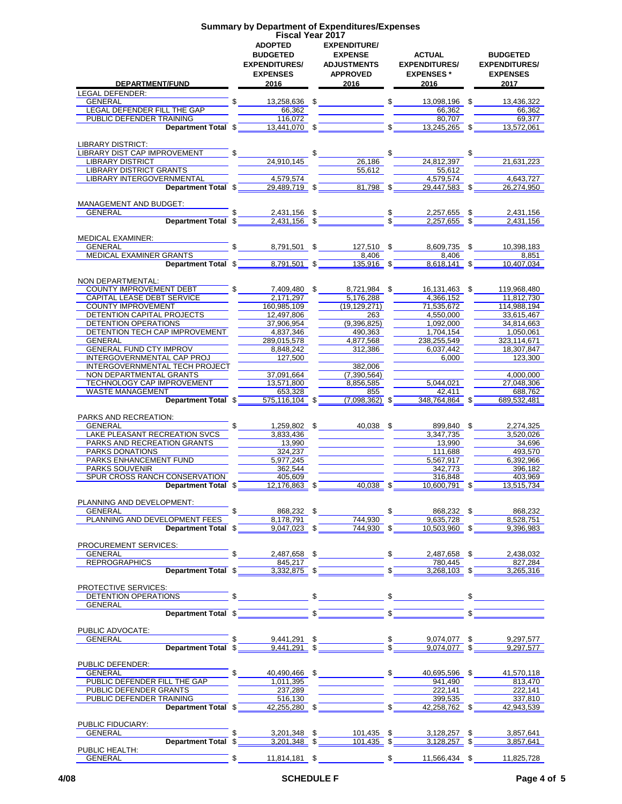#### **Summary by Department of Expenditures/Expenses Fiscal Year 2017 ADOPTED BUDGETED EXPENDITURES/ EXPENSES EXPENDITURE/ EXPENSE ADJUSTMENTS APPROVED ACTUAL EXPENDITURES/ EXPENSES \* BUDGETED EXPENDITURES/ EXPENSES DEPARTMENT/FUND 2016 2016 2016 2017** LEGAL DEFENDER:<br>GENERAL GENERAL \$ 13,258,636 \$ \$ 13,098,196 \$ 13,436,322 LEGAL DEFENDER FILL THE GAP 66,362<br>PUBLIC DEFENDER TRAINING 116,072 116,072 66,362 80,707 69,377 PUBLIC DEFENDER TRAINING<br> **Department Total**  $\overline{\text{S}}$  **116,072 S 13.441.070 S 13.445.266 S 113.572.061 Department Total \$** LIBRARY DISTRICT: LIBRARY DIST CAP IMPROVEMENT \$ \$ \$ \$ LIBRARY DISTRICT 24,910,145 26,186 24,812,397 21,631,223 LIBRARY DISTRICT GRANTS **1.55,612** 55,612 55,612 55,612 55,612 55,612 55,612 55,612 55,612 55,612 55,612 55,612 55,612 55,612 55,612 55,612 55,612 55,612 55,612 55,612 55,612 55,612 55,612 55,612 55,612 55,612 55,612 55,61 LIBRARY INTERGOVERNMENTAL **1.579,574** 4,579,574 4,579,574 4,579,574 4,643,727 **Department Total**  $\frac{29,489,719}{29,489,719}$   $\frac{3}{100}$   $\frac{4,579}{29,447,583}$   $\frac{4,579,574}{29,447,583}$ **Department Total \$** MANAGEMENT AND BUDGET: GENERAL \$ 2,431,156 \$ \$ 2,257,655 \$ 2,431,156 **Department Total**  $\frac{1}{3}$  $\frac{2,431,156}{2,431,156}$  $\frac{1}{3}$  $\frac{1}{3}$  $\frac{1}{2,257,655}$  $\frac{1}{3}$  $\frac{1}{2,431,156}$ MEDICAL EXAMINER:<br>GENERAL GENERAL \$ 8,791,501 \$ 127,510 \$ 8,609,735 \$ 10,398,183 MEDICAL EXAMINER GRANTS<br> **Department Total** \$ 8,791,501 \$ 8,7916 8,851 \$ 8,618,141 \$ 10,407,034 **Department Total \$** NON DEPARTMENTAL: COUNTY IMPROVEMENT DEBT  $\begin{array}{|l|l|l|}\n\hline\n\text{S} & \text{7,409,480} \\
\hline\n\text{2,171,297} & \text{5,176,288} \\
\hline\n\end{array}$  \$  $\begin{array}{|l|l|}\n\hline\n\text{10,131,463} & \text{$s$} \\
\hline\n\text{3,174,530} & \text{11,812,730} \\
\hline\n\end{array}$ CAPITAL LEASE DEBT SERVICE 2,171,297<br>COUNTY IMPROVEMENT 160,985 109 (19 129 271) 71.535 672 11,812,730 COUNTY IMPROVEMENT 160,985,109 (19,129,271) 71,535,672 114,988,194<br>DETENTION CAPITAL PROJECTS 12,497,806 263 4,550,000 133,615,467 DETENTION CAPITAL PROJECTS 12,497,806<br>DETENTION OPERATIONS 37,906,954 (9,396,825) 1,092,000 34,814,663 DETENTION OPERATIONS 37,906,954 (9,396,825) 1,092,000 34,814,663<br>DETENTION TECH CAP IMPROVEMENT 4,837,346 490,363 1,004,154 1,704,154 1,050,061 DETENTION TECH CAP IMPROVEMENT 4,837,346 490,363 1,704,154 1,050,061 GENERAL 289,015,578 4,877,568 238,255,549 323,114,671 GENERAL FUND CTY IMPROV 8,848,242 8,848,242 312,386 6,037,442 18,307,847<br>INTERGOVERNMENTAL CAP PROJ 127,500 127,500 6,000 6,000 123,300 INTERGOVERNMENTAL CAP PROJ 127,500 127,500 12382.006 INTERGOVERNMENTAL TECH PROJECT<br>NON DEPARTMENTAL GRANTS 37,091,664 (7,390,564) NON DEPARTMENTAL GRANTS 37,091,664 (7,390,564)<br>TECHNOLOGY CAP IMPROVEMENT 13,571,800 8,856,585 5,044,021 27,048,306 TECHNOLOGY CAP IMPROVEMENT  $\overline{13,571,800}$   $\overline{8,856,585}$   $\overline{33.328}$   $\overline{855}$   $\overline{27,048,306}$   $\overline{27,048,306}$   $\overline{27,048,306}$   $\overline{27,048,306}$ WASTE MANAGEMENT **Department Total**  $\overline{\text{S3,328}}$   $\overline{\text{S55,116,104}}$   $\overline{\text{S55}}$   $\overline{\text{S55}}$   $\overline{\text{S5}}$   $\overline{\text{S5,416,104}}$   $\overline{\text{S5,116,104}}$   $\overline{\text{S5,116,104}}$   $\overline{\text{S5,116,104}}$   $\overline{\text{S5,116,104}}$   $\overline{\text{S5,1$ **Department Total \$** PARKS AND RECREATION:<br>GENERAL GENERAL \$ 1,259,802 \$ 40,038 \$ 899,840 \$ 2,274,325 LAKE PLEASANT RECREATION SVCS 3,833,436 3,833,436 3,347,735 3,347,735 3,520,026 3,520,026 PARKS AND RECREATION GRANTS 13,990 13,990 13,990 13,990 34,696 PARKS DONATIONS 324,237<br>
PARKS ENHANCEMENT FUND 5,977,245 PARKS ENHANCEMENT FUND 5,977,245<br>PARKS SOUVENIR 362,544 396,182 PARKS SOUVENIR 362,544 362,544 396,182<br>SPUR CROSS RANCH CONSERVATION 405,609 405,609 316,848 403,969 SPUR CROSS RANCH CONSERVATION<br>
Department Total  $\frac{405,609}{12,176,863}$   $\frac{240,038}{140,038}$   $\frac{316,848}{10,600,791}$   $\frac{403,969}{13,515,734}$ **Department Total \$** PLANNING AND DEVELOPMENT:<br>GENERAL GENERAL \$ 868,232 \$ \$ 868,232 \$ 868,232 PLANNING AND DEVELOPMENT FEES 8,178,791 744,930 9047,023 8 744,930 9047,023 8 8,528,751 **Department Total \$** PROCUREMENT SERVICES:<br>GENERAL  $\frac{12,487,658}{2,487,658}$  \$  $\frac{2,487,658}{2,487,658}$  \$  $\frac{2,438,032}{2,438,032}$ REPROGRAPHICS **Department Total**  $\overline{\text{S} = \begin{bmatrix} 845,217 \\ 3,332,875 \end{bmatrix}} \cdot \overline{\text{S} = \begin{bmatrix} 780,445 \\ 3,368,103 \end{bmatrix}} \cdot \overline{\text{S} = \begin{bmatrix} 827,284 \\ 3,265,316 \end{bmatrix}}$ **Department Total \$** PROTECTIVE SERVICES: DETENTION OPERATIONS  $\begin{array}{ccc} \circ & \circ & \circ \end{array}$ **GENERAL Department Total \$**  $\frac{1}{\sqrt{1-\frac{1}{2}}}\left(\sqrt{1-\frac{1}{2}-\frac{1}{2}}\right)$ PUBLIC ADVOCATE:<br>GENERAL  $\frac{1}{3}$  9,441,291 \$  $\frac{1}{3}$   $\frac{1}{3}$  9,074,077 \$ 9,297,577<br> $\frac{1}{3}$  9,441,291 \$  $\frac{1}{3}$   $\frac{1}{3}$  9,074,077 \$ 9,297.577 **Department Total \$ PUBLIC DEFENDER:**<br>GENERAL  $$ 40,490,466 \text{ } $ 5 40,695,596 \text{ } $ 41,570,118$ PUBLIC DEFENDER FILL THE GAP 1,011,395 1,011,395 1,011,395 1,011,395 1,011,395 1,011,395 1,011,490 813,470 813,470<br>PUBLIC DEFENDER GRANTS 222.141 222.141 222.141 PUBLIC DEFENDER GRANTS 237,289<br>PUBLIC DEFENDER TRAINING 516,130 PUBLIC DEFENDER TRAINING<br> **Department Total**  $\overline{\text{S}}$  516,130<br>
42.258.762  $\overline{\text{S}}$  5 337,810<br> **Department Total**  $\overline{\text{S}}$  42.255.280  $\overline{\text{S}}$   $\overline{\text{S}}$  42.258.762  $\overline{\text{S}}$  42.943.539 **Department Total \$** PUBLIC FIDUCIARY: GENERAL \$ 3,201,348 \$ 101,435 \$ 3,128,257 \$ 3,857,641 **Department Total**  $\frac{1}{2}$  $\frac{3,201,348}{3,428,48}$  $\frac{1}{2}$  $\frac{101,435}{3,428,257}$  $\frac{1}{2}$  $\frac{3,128,257}{3,428,257}$  $\frac{1}{2}$

PUBLIC HEALTH:<br>GENERAL

GENERAL \$ 11,814,181 \$ \$ 11,566,434 \$ 11,825,728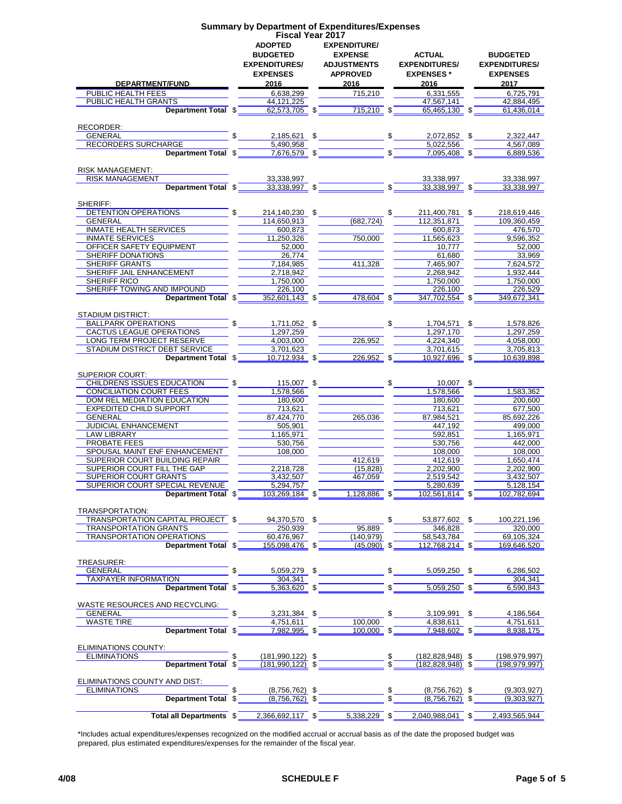|                                                         | <b>Fiscal Year 2017</b><br><b>ADOPTED</b><br><b>BUDGETED</b><br><b>EXPENDITURES/</b> |  | <b>EXPENDITURE/</b><br><b>EXPENSE</b><br><b>ADJUSTMENTS</b> |                    | <b>ACTUAL</b><br><b>EXPENDITURES/</b>         |   | <b>BUDGETED</b><br><b>EXPENDITURES/</b> |  |
|---------------------------------------------------------|--------------------------------------------------------------------------------------|--|-------------------------------------------------------------|--------------------|-----------------------------------------------|---|-----------------------------------------|--|
|                                                         | <b>EXPENSES</b>                                                                      |  | <b>APPROVED</b>                                             |                    | <b>EXPENSES*</b>                              |   | <b>EXPENSES</b>                         |  |
| DEPARTMENT/FUND                                         | 2016                                                                                 |  | 2016                                                        |                    | 2016                                          |   | 2017                                    |  |
| PUBLIC HEALTH FEES<br>PUBLIC HEALTH GRANTS              | 6,638,299<br>44,121,225                                                              |  | 715,210                                                     |                    | 6,331,555<br>47,567,141                       |   | 6,725,791<br>42,884,495                 |  |
| Department Total \$                                     | 62,573,705 \$                                                                        |  | $715,210$ \$                                                |                    | 65,465,130                                    |   | 61,436,014                              |  |
| RECORDER:                                               |                                                                                      |  |                                                             |                    |                                               |   |                                         |  |
| <b>GENERAL</b>                                          | \$<br>2,185,621 \$                                                                   |  |                                                             | \$                 | 2,072,852 \$                                  |   | 2.322.447                               |  |
| RECORDERS SURCHARGE                                     | 5,490,958                                                                            |  |                                                             |                    | 5.022.556                                     |   | 4,567,089                               |  |
| Department Total \$                                     | 7,676,579 \$                                                                         |  |                                                             | $\mathbf{\hat{s}}$ | 7.095.408 \$                                  |   | 6,889,536                               |  |
| <b>RISK MANAGEMENT:</b>                                 |                                                                                      |  |                                                             |                    |                                               |   |                                         |  |
| <b>RISK MANAGEMENT</b>                                  | 33,338,997                                                                           |  |                                                             |                    | 33,338,997                                    |   | 33,338,997                              |  |
| Department Total \$                                     | 33,338,997 \$                                                                        |  |                                                             | \$                 | 33,338,997 \$                                 |   | 33,338,997                              |  |
| SHERIFF:                                                |                                                                                      |  |                                                             |                    |                                               |   |                                         |  |
| DETENTION OPERATIONS                                    | 214,140,230 \$                                                                       |  |                                                             | \$                 | 211,400,781 \$                                |   | 218,619,446                             |  |
| <b>GENERAL</b>                                          | 114,650,913                                                                          |  | (682, 724)                                                  |                    | 112,351,871                                   |   | 109,360,459                             |  |
| <b>INMATE HEALTH SERVICES</b>                           | 600,873                                                                              |  |                                                             |                    | 600,873                                       |   | 476,570                                 |  |
| <b>INMATE SERVICES</b><br>OFFICER SAFETY EQUIPMENT      | 11,250,326<br>52,000                                                                 |  | 750,000                                                     |                    | 11,565,623<br>10.777                          |   | 9.596.352<br>52.000                     |  |
| SHERIFF DONATIONS                                       | 26,774                                                                               |  |                                                             |                    | 61,680                                        |   | 33,969                                  |  |
| SHERIFF GRANTS                                          | 7,184,985                                                                            |  | 411,328                                                     |                    | 7,465,907                                     |   | 7,624,572                               |  |
| SHERIFF JAIL ENHANCEMENT                                | 2,718,942                                                                            |  |                                                             |                    | 2,268,942                                     |   | 1,932,444                               |  |
| SHERIFF RICO                                            | 1.750.000                                                                            |  |                                                             |                    | 1,750,000                                     |   | 1,750,000                               |  |
| SHERIFF TOWING AND IMPOUND                              | 226,100                                                                              |  |                                                             |                    | 226,100                                       |   | 226.529                                 |  |
| Department Total \$                                     | 352,601,143 \$                                                                       |  | 478,604 \$                                                  |                    | 347,702,554 \$                                |   | 349,672,341                             |  |
| STADIUM DISTRICT:                                       |                                                                                      |  |                                                             |                    |                                               |   |                                         |  |
| <b>BALLPARK OPERATIONS</b>                              | \$.<br>1.711.052 \$                                                                  |  |                                                             | \$                 | 1,704,571                                     | S | 1,578,826                               |  |
| CACTUS LEAGUE OPERATIONS                                | 1.297.259                                                                            |  |                                                             |                    | 1.297.170                                     |   | 1,297,259                               |  |
| LONG TERM PROJECT RESERVE                               | 4,003,000                                                                            |  | 226,952                                                     |                    | 4,224,340                                     |   | 4,058,000                               |  |
| STADIUM DISTRICT DEBT SERVICE                           | 3,701,623                                                                            |  |                                                             |                    | 3,701,615                                     |   | 3,705,813                               |  |
| Department Total \$                                     | 10,712,934 \$                                                                        |  | 226,952 \$                                                  |                    | 10,927,696 \$                                 |   | 10,639,898                              |  |
| <b>SUPERIOR COURT:</b>                                  |                                                                                      |  |                                                             |                    |                                               |   |                                         |  |
| CHILDRENS ISSUES EDUCATION                              | \$<br>115,007 \$                                                                     |  |                                                             | \$                 | 10,007 \$                                     |   |                                         |  |
| CONCILIATION COURT FEES                                 | 1,578,566                                                                            |  |                                                             |                    | 1,578,566                                     |   | 1,583,362                               |  |
| DOM REL MEDIATION EDUCATION                             | 180,600                                                                              |  |                                                             |                    | 180,600                                       |   | 200,600                                 |  |
| <b>EXPEDITED CHILD SUPPORT</b>                          | 713,621                                                                              |  |                                                             |                    | 713,621                                       |   | 677,500                                 |  |
| <b>GENERAL</b><br><b>JUDICIAL ENHANCEMENT</b>           | 87,424,770<br>505,901                                                                |  | 265,036                                                     |                    | 87,984,521                                    |   | 85,692,226<br>499,000                   |  |
| LAW LIBRARY                                             | 1,165,971                                                                            |  |                                                             |                    | 447,192<br>592.851                            |   | 1,165,971                               |  |
| PROBATE FEES                                            | 530,756                                                                              |  |                                                             |                    | 530,756                                       |   | 442,000                                 |  |
| SPOUSAL MAINT ENF ENHANCEMENT                           | 108,000                                                                              |  |                                                             |                    | 108,000                                       |   | 108,000                                 |  |
| <b>SUPERIOR COURT BUILDING REPAIR</b>                   |                                                                                      |  | 412,619                                                     |                    | 412,619                                       |   | 1.650.474                               |  |
| SUPERIOR COURT FILL THE GAP                             | 2,218,728                                                                            |  | (15, 828)                                                   |                    | 2.202.900                                     |   | 2,202,900                               |  |
| <b>SUPERIOR COURT GRANTS</b>                            | 3,432,507                                                                            |  | 467,059                                                     |                    | 2,519,542                                     |   | 3,432,507                               |  |
| SUPERIOR COURT SPECIAL REVENUE<br>Department Total \$   | 5,294,757<br>103,269,184 \$                                                          |  | <u>1,128,886</u> \$                                         |                    | 5,280,639<br>102,561,814 \$                   |   | 5,128,154<br>102,782,694                |  |
|                                                         |                                                                                      |  |                                                             |                    |                                               |   |                                         |  |
| TRANSPORTATION:                                         |                                                                                      |  |                                                             |                    |                                               |   |                                         |  |
| TRANSPORTATION CAPITAL PROJECT \$                       | 94,370,570 \$                                                                        |  |                                                             | \$                 | 53,877,602 \$                                 |   | 100,221,196                             |  |
| <b>TRANSPORTATION GRANTS</b>                            | 250,939                                                                              |  | 95,889                                                      |                    | 346,828<br>58.543.784                         |   | 320,000                                 |  |
| <b>TRANSPORTATION OPERATIONS</b><br>Department Total \$ | 60,476,967<br>155,098,476 \$                                                         |  | (140, 979)<br>$(45,090)$ \$                                 |                    | 112,768,214 \$                                |   | 69,105,324<br>169,646,520               |  |
|                                                         |                                                                                      |  |                                                             |                    |                                               |   |                                         |  |
| TREASURER:                                              |                                                                                      |  |                                                             |                    |                                               |   |                                         |  |
| <b>GENERAL</b>                                          | 5,059,279 \$                                                                         |  |                                                             |                    | 5,059,250 \$                                  |   | 6,286,502                               |  |
| <b>TAXPAYER INFORMATION</b><br>Department Total \$      | 304,341<br>$5,363,620$ \$                                                            |  |                                                             |                    | 5.059.250 \$                                  |   | 304,341                                 |  |
|                                                         |                                                                                      |  |                                                             |                    |                                               |   | 6,590,843                               |  |
| WASTE RESOURCES AND RECYCLING:                          |                                                                                      |  |                                                             |                    |                                               |   |                                         |  |
| GENERAL                                                 | 3,231,384 \$                                                                         |  |                                                             |                    | 3,109,991 \$                                  |   | 4.186.564                               |  |
| <b>WASTE TIRE</b>                                       | 4,751,611                                                                            |  | 100.000                                                     |                    | 4,838,611                                     |   | 4,751,611                               |  |
| Department Total \$                                     | 7,982,995 \$                                                                         |  | 100,000 \$                                                  |                    | 7,948,602 \$                                  |   | 8,938,175                               |  |
| ELIMINATIONS COUNTY:                                    |                                                                                      |  |                                                             |                    |                                               |   |                                         |  |
| <b>ELIMINATIONS</b>                                     | \$<br>$(181, 990, 122)$ \$                                                           |  |                                                             | \$                 | $(182, 828, 948)$ \$                          |   | (198, 979, 997)                         |  |
| Department Total \$                                     | $(181,990,122)$ \$                                                                   |  |                                                             |                    | $(182.828.948)$ \$                            |   | (198,979,997)                           |  |
|                                                         |                                                                                      |  |                                                             |                    |                                               |   |                                         |  |
| ELIMINATIONS COUNTY AND DIST:<br><b>ELIMINATIONS</b>    |                                                                                      |  |                                                             |                    |                                               |   |                                         |  |
| <b>Department Total</b>                                 | $(8,756,762)$ \$<br>\$<br>$(8,756,762)$ \$                                           |  |                                                             | \$                 | $(8,756,762)$ \$<br>$(8,756,762)$ \$          |   | (9,303,927)<br>(9,303,927)              |  |
|                                                         |                                                                                      |  |                                                             |                    |                                               |   |                                         |  |
|                                                         |                                                                                      |  |                                                             |                    | $5,338,229$ \$ 2,040,988,041 \$ 2,493,565,944 |   |                                         |  |

**Summary by Department of Expenditures/Expenses**

\*Includes actual expenditures/expenses recognized on the modified accrual or accrual basis as of the date the proposed budget was prepared, plus estimated expenditures/expenses for the remainder of the fiscal year.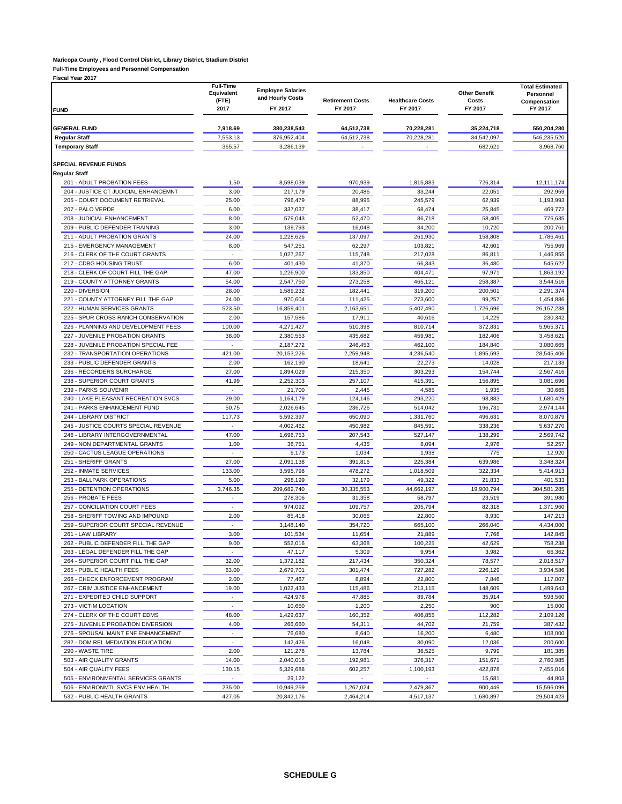### **Maricopa County , Flood Control District, Library District, Stadium District**

**Full-Time Employees and Personnel Compensation**

| <b>Fiscal Year 2017</b> |  |
|-------------------------|--|

|                                                                    | <b>Full-Time</b><br>Equivalent<br>(FTE)<br>2017 | <b>Employee Salaries</b><br>and Hourly Costs<br>FY 2017 | <b>Retirement Costs</b><br>FY 2017 | <b>Healthcare Costs</b><br>FY 2017 | <b>Other Benefit</b><br>Costs<br>FY 2017 | <b>Total Estimated</b><br>Personnel<br>Compensation<br>FY 2017 |  |
|--------------------------------------------------------------------|-------------------------------------------------|---------------------------------------------------------|------------------------------------|------------------------------------|------------------------------------------|----------------------------------------------------------------|--|
| <b>FUND</b>                                                        |                                                 |                                                         |                                    |                                    |                                          |                                                                |  |
| <b>GENERAL FUND</b>                                                | 7,918.69                                        | 380,238,543                                             | 64,512,738                         | 70,228,281                         | 35,224,718                               | 550,204,280                                                    |  |
| <b>Regular Staff</b>                                               | 7,553.13                                        | 376,952,404                                             | 64,512,738                         | 70,228,281                         | 34,542,097                               | 546,235,520                                                    |  |
| <b>Temporary Staff</b>                                             | 365.57                                          | 3,286,139                                               |                                    |                                    | 682,621                                  | 3,968,760                                                      |  |
| SPECIAL REVENUE FUNDS<br><b>Regular Staff</b>                      |                                                 |                                                         |                                    |                                    |                                          |                                                                |  |
| 201 - ADULT PROBATION FEES                                         | 1.50                                            | 8,598,039                                               | 970,939                            | 1,815,883                          | 726,314                                  | 12,111,174                                                     |  |
| 204 - JUSTICE CT JUDICIAL ENHANCEMNT                               | 3.00                                            | 217,179                                                 | 20,486                             | 33,244                             | 22,051                                   | 292,959                                                        |  |
| 205 - COURT DOCUMENT RETRIEVAL                                     | 25.00                                           | 796,479                                                 | 88,995                             | 245,579                            | 62,939                                   | 1,193,993                                                      |  |
| 207 - PALO VERDE                                                   | 6.00                                            | 337,037                                                 | 38,417                             | 68,474                             | 25,845                                   | 469,772                                                        |  |
| 208 - JUDICIAL ENHANCEMENT<br>209 - PUBLIC DEFENDER TRAINING       | 8.00<br>3.00                                    | 579.043<br>139,793                                      | 52,470<br>16,048                   | 86,718<br>34,200                   | 58,405<br>10,720                         | 776,635<br>200,761                                             |  |
| 211 - ADULT PROBATION GRANTS                                       | 24.00                                           | 1,228,626                                               | 137,097                            | 261,930                            | 158,808                                  | 1,786,461                                                      |  |
| 215 - EMERGENCY MANAGEMENT                                         | 8.00                                            | 547,251                                                 | 62,297                             | 103,821                            | 42,601                                   | 755,969                                                        |  |
| 216 - CLERK OF THE COURT GRANTS                                    | $\overline{\phantom{a}}$                        | 1,027,267                                               | 115,748                            | 217,028                            | 86,811                                   | 1,446,855                                                      |  |
| 217 - CDBG HOUSING TRUST                                           | 6.00                                            | 401,430                                                 | 41,370                             | 66,343                             | 36,480                                   | 545,622                                                        |  |
| 218 - CLERK OF COURT FILL THE GAP                                  | 47.00                                           | 1,226,900                                               | 133,850                            | 404,471                            | 97,971                                   | 1,863,192                                                      |  |
| 219 - COUNTY ATTORNEY GRANTS                                       | 54.00                                           | 2,547,750                                               | 273,258                            | 465,121                            | 258,387                                  | 3,544,516                                                      |  |
| 220 - DIVERSION                                                    | 28.00                                           | 1,589,232                                               | 182,441                            | 319,200                            | 200,501                                  | 2,291,374                                                      |  |
| 221 - COUNTY ATTORNEY FILL THE GAP                                 | 24.00                                           | 970,604                                                 | 111,425                            | 273,600                            | 99,257                                   | 1,454,886                                                      |  |
| 222 - HUMAN SERVICES GRANTS<br>225 - SPUR CROSS RANCH CONSERVATION | 523.50<br>2.00                                  | 16,859,401                                              | 2,163,651                          | 5,407,490                          | 1,726,696                                | 26, 157, 238<br>230,342                                        |  |
| 226 - PLANNING AND DEVELOPMENT FEES                                | 100.00                                          | 157,586<br>4,271,427                                    | 17,911<br>510,398                  | 40,616<br>810,714                  | 14,229<br>372,831                        | 5,965,371                                                      |  |
| 227 - JUVENILE PROBATION GRANTS                                    | 38.00                                           | 2,380,553                                               | 435,682                            | 459,981                            | 182,406                                  | 3,458,621                                                      |  |
| 228 - JUVENILE PROBATION SPECIAL FEE                               | ÷,                                              | 2,187,272                                               | 246,453                            | 462,100                            | 184,840                                  | 3,080,665                                                      |  |
| 232 - TRANSPORTATION OPERATIONS                                    | 421.00                                          | 20,153,226                                              | 2,259,948                          | 4,236,540                          | 1,895,693                                | 28,545,406                                                     |  |
| 233 - PUBLIC DEFENDER GRANTS                                       | 2.00                                            | 162,190                                                 | 18,641                             | 22,273                             | 14,028                                   | 217,133                                                        |  |
| 236 - RECORDERS SURCHARGE                                          | 27.00                                           | 1,894,029                                               | 215,350                            | 303,293                            | 154.744                                  | 2,567,416                                                      |  |
| 238 - SUPERIOR COURT GRANTS                                        | 41.99                                           | 2,252,303                                               | 257,107                            | 415,391                            | 156,895                                  | 3,081,696                                                      |  |
| 239 - PARKS SOUVENIR                                               | ÷,                                              | 21,700                                                  | 2,445                              | 4,585                              | 1,935                                    | 30,665                                                         |  |
| 240 - LAKE PLEASANT RECREATION SVCS                                | 29.00                                           | 1,164,179                                               | 124,146                            | 293,220                            | 98,883                                   | 1,680,429                                                      |  |
| 241 - PARKS ENHANCEMENT FUND<br>244 - LIBRARY DISTRICT             | 50.75<br>117.73                                 | 2,026,645<br>5,592,397                                  | 236,726<br>650,090                 | 514,042<br>1,331,760               | 196,731<br>496,631                       | 2,974,144<br>8,070,879                                         |  |
| 245 - JUSTICE COURTS SPECIAL REVENUE                               | $\sim$                                          | 4,002,462                                               | 450,982                            | 845,591                            | 338,236                                  | 5,637,270                                                      |  |
| 246 - LIBRARY INTERGOVERNMENTAL                                    | 47.00                                           | 1,696,753                                               | 207,543                            | 527,147                            | 138,299                                  | 2,569,742                                                      |  |
| 249 - NON DEPARTMENTAL GRANTS                                      | 1.00                                            | 36,751                                                  | 4,435                              | 8,094                              | 2,976                                    | 52,257                                                         |  |
| 250 - CACTUS LEAGUE OPERATIONS                                     | $\epsilon$                                      | 9,173                                                   | 1,034                              | 1,938                              | 775                                      | 12,920                                                         |  |
| 251 - SHERIFF GRANTS                                               | 27.00                                           | 2,091,138                                               | 391,816                            | 225,384                            | 639,986                                  | 3,348,324                                                      |  |
| 252 - INMATE SERVICES                                              | 133.00                                          | 3,595,798                                               | 478,272                            | 1,018,509                          | 322,334                                  | 5,414,913                                                      |  |
| 253 - BALLPARK OPERATIONS                                          | 5.00                                            | 298,199                                                 | 32,179                             | 49,322                             | 21,833                                   | 401,533                                                        |  |
| 255 - DETENTION OPERATIONS                                         | 3,746.35                                        | 209,682,740                                             | 30,335,553                         | 44,662,197                         | 19,900,794                               | 304,581,285                                                    |  |
| 256 - PROBATE FEES<br>257 - CONCILIATION COURT FEES                | $\blacksquare$<br>$\sim$                        | 278,306<br>974,092                                      | 31,358<br>109,757                  | 58,797<br>205,794                  | 23,519<br>82,318                         | 391,980<br>1,371,960                                           |  |
| 258 - SHERIFF TOWING AND IMPOUND                                   | 2.00                                            | 85,418                                                  | 30,065                             | 22,800                             | 8,930                                    | 147,213                                                        |  |
| 259 - SUPERIOR COURT SPECIAL REVENUE                               | $\overline{\phantom{a}}$                        | 3,148,140                                               | 354,720                            | 665,100                            | 266,040                                  | 4,434,000                                                      |  |
| 261 - LAW LIBRARY                                                  | 3.00                                            | 101,534                                                 | 11,654                             | 21,889                             | 7,768                                    | 142,845                                                        |  |
| 262 - PUBLIC DEFENDER FILL THE GAP                                 | 9.00                                            | 552,016                                                 | 63,368                             | 100,225                            | 42,629                                   | 758,238                                                        |  |
| 263 - LEGAL DEFENDER FILL THE GAP                                  | $\blacksquare$                                  | 47,117                                                  | 5,309                              | 9,954                              | 3,982                                    | 66,362                                                         |  |
| 264 - SUPERIOR COURT FILL THE GAP                                  | 32.00                                           | 1,372,182                                               | 217,434                            | 350,324                            | 78,577                                   | 2,018,517                                                      |  |
| 265 - PUBLIC HEALTH FEES                                           | 63.00                                           | 2,679,701                                               | 301,474                            | 727,282                            | 226,129                                  | 3,934,586                                                      |  |
| 266 - CHECK ENFORCEMENT PROGRAM                                    | 2.00                                            | 77,467                                                  | 8,894                              | 22,800                             | 7,846                                    | 117,007                                                        |  |
| 267 - CRIM JUSTICE ENHANCEMENT<br>271 - EXPEDITED CHILD SUPPORT    | 19.00<br>÷,                                     | 1,022,433                                               | 115,486                            | 213.115                            | 148,609                                  | 1,499,643                                                      |  |
| 273 - VICTIM LOCATION                                              | ÷,                                              | 424,978<br>10,650                                       | 47,885<br>1,200                    | 89,784<br>2,250                    | 35,914<br>900                            | 598,560<br>15,000                                              |  |
| 274 - CLERK OF THE COURT EDMS                                      | 48.00                                           | 1,429,637                                               | 160,352                            | 406,855                            | 112,282                                  | 2,109,126                                                      |  |
| 275 - JUVENILE PROBATION DIVERSION                                 | 4.00                                            | 266,660                                                 | 54,311                             | 44,702                             | 21,759                                   | 387,432                                                        |  |
| 276 - SPOUSAL MAINT ENF ENHANCEMENT                                | $\overline{\phantom{a}}$                        | 76,680                                                  | 8,640                              | 16,200                             | 6,480                                    | 108,000                                                        |  |
| 282 - DOM REL MEDIATION EDUCATION                                  | ×.                                              | 142,426                                                 | 16,048                             | 30,090                             | 12,036                                   | 200,600                                                        |  |
| 290 - WASTE TIRE                                                   | 2.00                                            | 121,278                                                 | 13,784                             | 36,525                             | 9,799                                    | 181,385                                                        |  |
| 503 - AIR QUALITY GRANTS                                           | 14.00                                           | 2,040,016                                               | 192,981                            | 376,317                            | 151,671                                  | 2,760,985                                                      |  |
| 504 - AIR QUALITY FEES                                             | 130.15                                          | 5,329,688                                               | 602,257                            | 1,100,193                          | 422,878                                  | 7,455,016                                                      |  |
| 505 - ENVIRONMENTAL SERVICES GRANTS                                | $\mathcal{L}$<br>235.00                         | 29,122                                                  |                                    |                                    | 15,681                                   | 44,803                                                         |  |
| 506 - ENVIRONMTL SVCS ENV HEALTH<br>532 - PUBLIC HEALTH GRANTS     | 427.05                                          | 10,949,259<br>20,842,176                                | 1,267,024<br>2,464,214             | 2,479,367<br>4,517,137             | 900,449<br>1,680,897                     | 15,596,099<br>29,504,423                                       |  |
|                                                                    |                                                 |                                                         |                                    |                                    |                                          |                                                                |  |